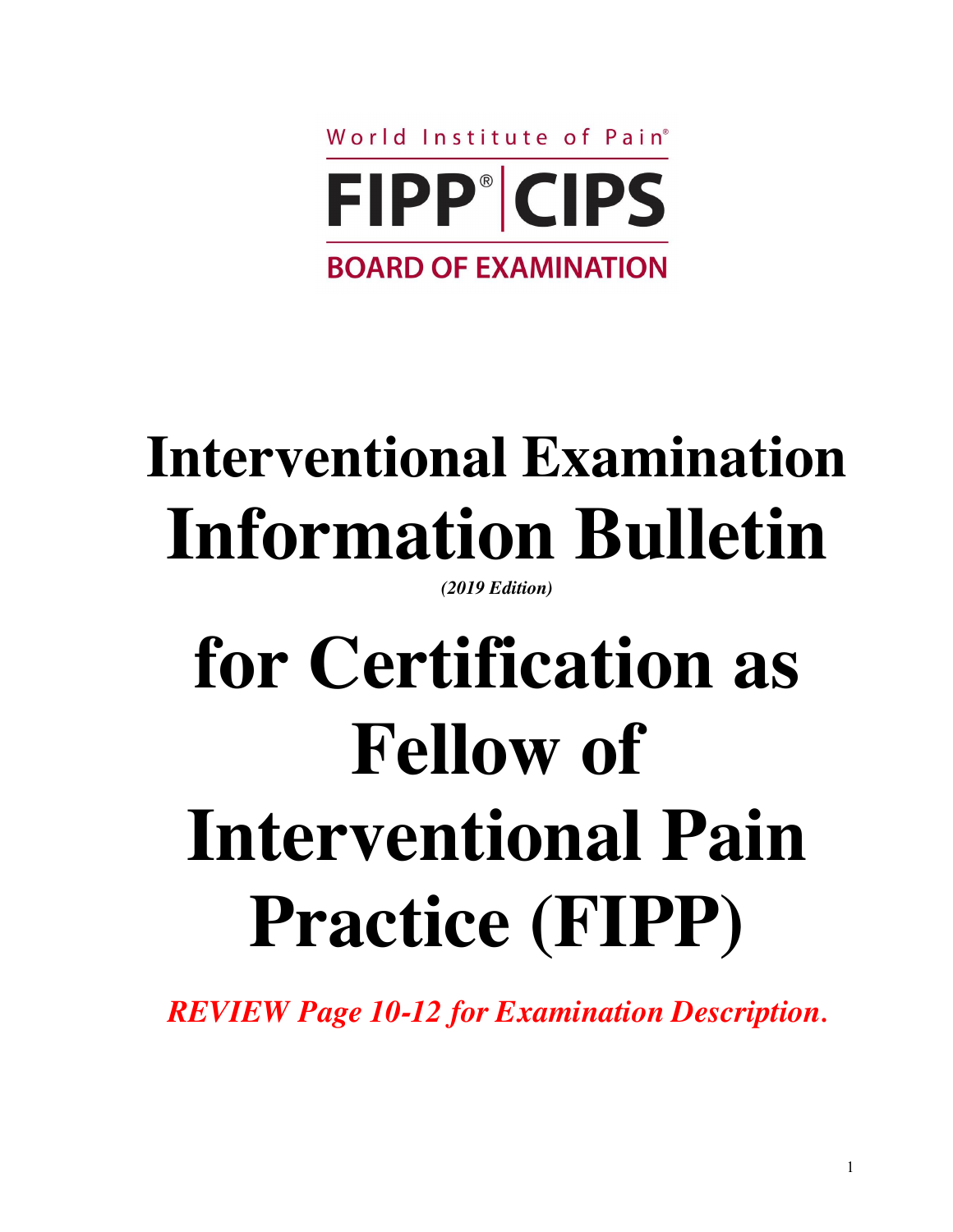

# **Interventional Examination Information Bulletin**

*(2019 Edition)*

# **for Certification as Fellow of Interventional Pain Practice (FIPP)**

*REVIEW Page 10-12 for Examination Description***.**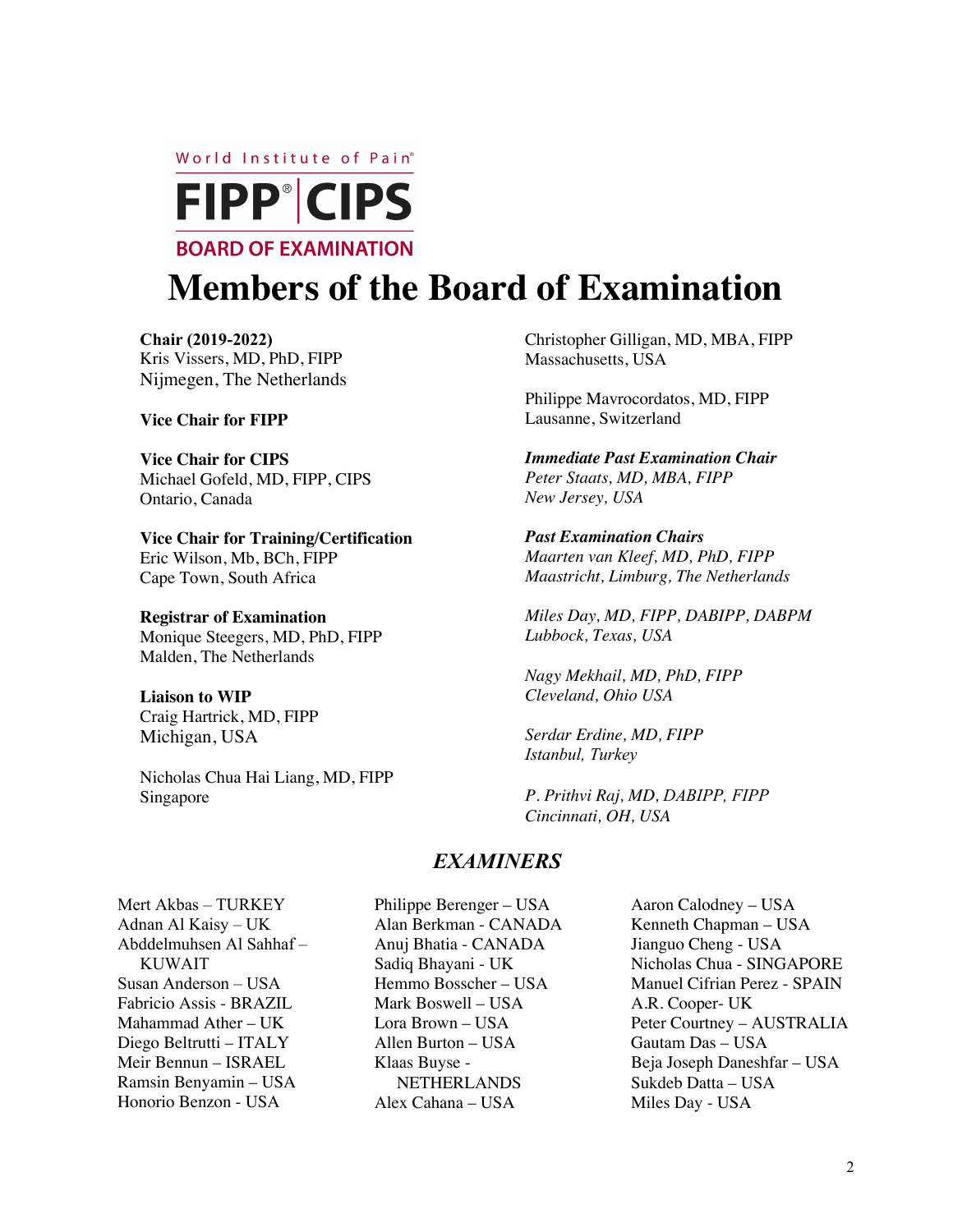World Institute of Pain<sup>®</sup>



# **Members of the Board of Examination**

**Chair (2019-2022)** Kris Vissers, MD, PhD, FIPP Nijmegen, The Netherlands

**Vice Chair for FIPP**

**Vice Chair for CIPS** Michael Gofeld, MD, FIPP, CIPS Ontario, Canada

**Vice Chair for Training/Certification** Eric Wilson, Mb, BCh, FIPP Cape Town, South Africa

**Registrar of Examination** Monique Steegers, MD, PhD, FIPP Malden, The Netherlands

**Liaison to WIP** Craig Hartrick, MD, FIPP Michigan, USA

Nicholas Chua Hai Liang, MD, FIPP Singapore

Christopher Gilligan, MD, MBA, FIPP Massachusetts, USA

Philippe Mavrocordatos, MD, FIPP Lausanne, Switzerland

*Immediate Past Examination Chair Peter Staats, MD, MBA, FIPP New Jersey, USA*

*Past Examination Chairs Maarten van Kleef, MD, PhD, FIPP Maastricht, Limburg, The Netherlands*

*Miles Day, MD, FIPP, DABIPP, DABPM Lubbock, Texas, USA*

*Nagy Mekhail, MD, PhD, FIPP Cleveland, Ohio USA*

*Serdar Erdine, MD, FIPP Istanbul, Turkey*

*P. Prithvi Raj, MD, DABIPP, FIPP Cincinnati, OH, USA*

# *EXAMINERS*

Mert Akbas – TURKEY Adnan Al Kaisy – UK Abddelmuhsen Al Sahhaf – KUWAIT Susan Anderson – USA Fabricio Assis - BRAZIL Mahammad Ather – UK Diego Beltrutti – ITALY Meir Bennun – ISRAEL Ramsin Benyamin – USA Honorio Benzon - USA

- Philippe Berenger USA Alan Berkman - CANADA Anuj Bhatia - CANADA Sadiq Bhayani - UK Hemmo Bosscher – USA Mark Boswell – USA Lora Brown – USA Allen Burton – USA Klaas Buyse - NETHERLANDS Alex Cahana – USA
- Aaron Calodney USA Kenneth Chapman – USA Jianguo Cheng - USA Nicholas Chua - SINGAPORE Manuel Cifrian Perez - SPAIN A.R. Cooper- UK Peter Courtney – AUSTRALIA Gautam Das – USA Beja Joseph Daneshfar – USA Sukdeb Datta – USA Miles Day - USA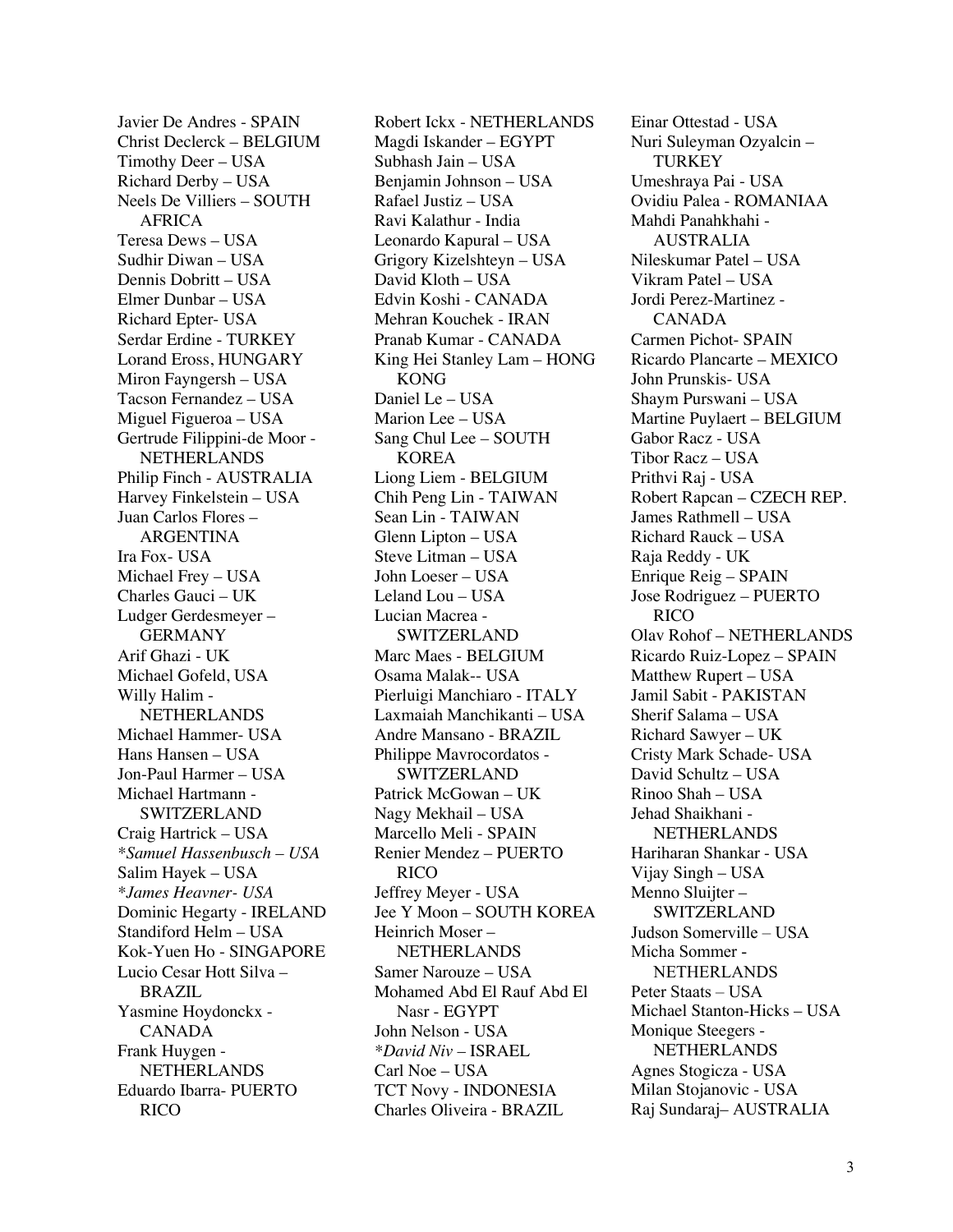Javier De Andres - SPAIN Christ Declerck – BELGIUM Timothy Deer – USA Richard Derby – USA Neels De Villiers – SOUTH AFRICA Teresa Dews – USA Sudhir Diwan – USA Dennis Dobritt – USA Elmer Dunbar – USA Richard Epter- USA Serdar Erdine - TURKEY Lorand Eross, HUNGARY Miron Fayngersh – USA Tacson Fernandez – USA Miguel Figueroa – USA Gertrude Filippini-de Moor - NETHERLANDS Philip Finch - AUSTRALIA Harvey Finkelstein – USA Juan Carlos Flores – ARGENTINA Ira Fox- USA Michael Frey – USA Charles Gauci – UK Ludger Gerdesmeyer – GERMANY Arif Ghazi - UK Michael Gofeld, USA Willy Halim - NETHERLANDS Michael Hammer- USA Hans Hansen – USA Jon-Paul Harmer – USA Michael Hartmann - SWITZERLAND Craig Hartrick – USA *\*Samuel Hassenbusch – USA* Salim Hayek – USA *\*James Heavner- USA* Dominic Hegarty - IRELAND Standiford Helm – USA Kok-Yuen Ho - SINGAPORE Lucio Cesar Hott Silva – BRAZIL Yasmine Hoydonckx - CANADA Frank Huygen - **NETHERLANDS** Eduardo Ibarra- PUERTO RICO

Robert Ickx - NETHERLANDS Magdi Iskander – EGYPT Subhash Jain – USA Benjamin Johnson – USA Rafael Justiz – USA Ravi Kalathur - India Leonardo Kapural – USA Grigory Kizelshteyn – USA David Kloth – USA Edvin Koshi - CANADA Mehran Kouchek - IRAN Pranab Kumar - CANADA King Hei Stanley Lam – HONG KONG Daniel Le – USA Marion Lee – USA Sang Chul Lee – SOUTH KOREA Liong Liem - BELGIUM Chih Peng Lin - TAIWAN Sean Lin - TAIWAN Glenn Lipton – USA Steve Litman – USA John Loeser – USA Leland Lou – USA Lucian Macrea - SWITZERLAND Marc Maes - BELGIUM Osama Malak-- USA Pierluigi Manchiaro - ITALY Laxmaiah Manchikanti – USA Andre Mansano - BRAZIL Philippe Mavrocordatos - SWITZERLAND Patrick McGowan – UK Nagy Mekhail – USA Marcello Meli - SPAIN Renier Mendez – PUERTO RICO Jeffrey Meyer - USA Jee Y Moon – SOUTH KOREA Heinrich Moser – NETHERLANDS Samer Narouze – USA Mohamed Abd El Rauf Abd El Nasr - EGYPT John Nelson - USA *\*David Niv –* ISRAEL Carl Noe – USA TCT Novy - INDONESIA Charles Oliveira - BRAZIL

Einar Ottestad - USA Nuri Suleyman Ozyalcin – **TURKEY** Umeshraya Pai - USA Ovidiu Palea - ROMANIAA Mahdi Panahkhahi - AUSTRALIA Nileskumar Patel – USA Vikram Patel – USA Jordi Perez-Martinez - CANADA Carmen Pichot- SPAIN Ricardo Plancarte – MEXICO John Prunskis- USA Shaym Purswani – USA Martine Puylaert – BELGIUM Gabor Racz - USA Tibor Racz – USA Prithvi Raj - USA Robert Rapcan – CZECH REP. James Rathmell – USA Richard Rauck – USA Raja Reddy - UK Enrique Reig – SPAIN Jose Rodriguez – PUERTO RICO Olav Rohof – NETHERLANDS Ricardo Ruiz-Lopez – SPAIN Matthew Rupert – USA Jamil Sabit - PAKISTAN Sherif Salama – USA Richard Sawyer – UK Cristy Mark Schade- USA David Schultz – USA Rinoo Shah – USA Jehad Shaikhani - NETHERLANDS Hariharan Shankar - USA Vijay Singh – USA Menno Sluijter – SWITZERLAND Judson Somerville – USA Micha Sommer - NETHERLANDS Peter Staats – USA Michael Stanton-Hicks – USA Monique Steegers -NETHERLANDS Agnes Stogicza - USA Milan Stojanovic - USA Raj Sundaraj– AUSTRALIA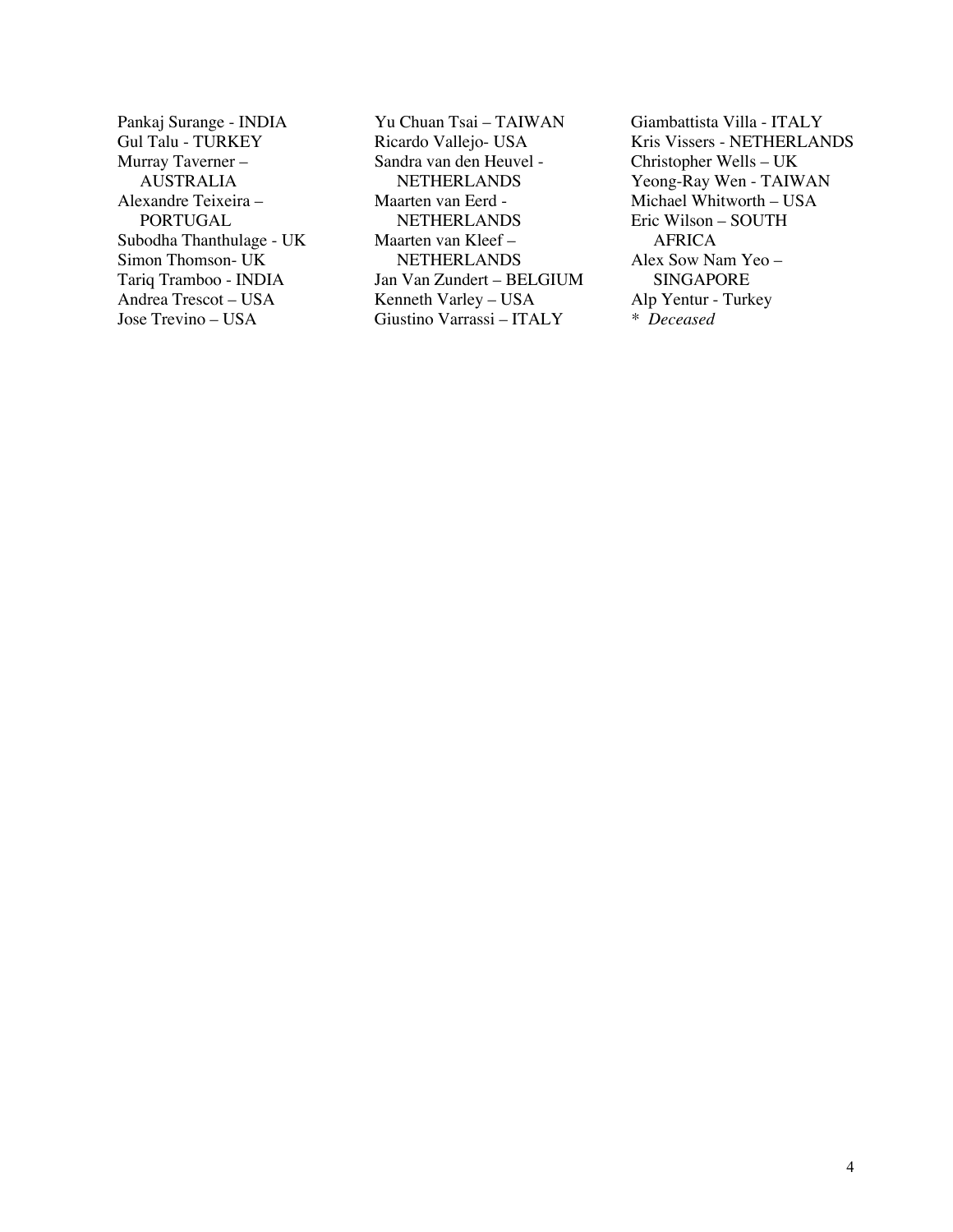Pankaj Surange - INDIA Gul Talu - TURKEY Murray Taverner – AUSTRALIA Alexandre Teixeira – PORTUGAL Subodha Thanthulage - UK Simon Thomson- UK Tariq Tramboo - INDIA Andrea Trescot – USA Jose Trevino – USA

Yu Chuan Tsai – TAIWAN Ricardo Vallejo- USA Sandra van den Heuvel - **NETHERLANDS** Maarten van Eerd - **NETHERLANDS** Maarten van Kleef – **NETHERLANDS** Jan Van Zundert – BELGIUM Kenneth Varley – USA Giustino Varrassi – ITALY

Giambattista Villa - ITALY Kris Vissers - NETHERLANDS Christopher Wells – UK Yeong-Ray Wen - TAIWAN Michael Whitworth – USA Eric Wilson – SOUTH AFRICA Alex Sow Nam Yeo – SINGAPORE Alp Yentur - Turkey *\* Deceased*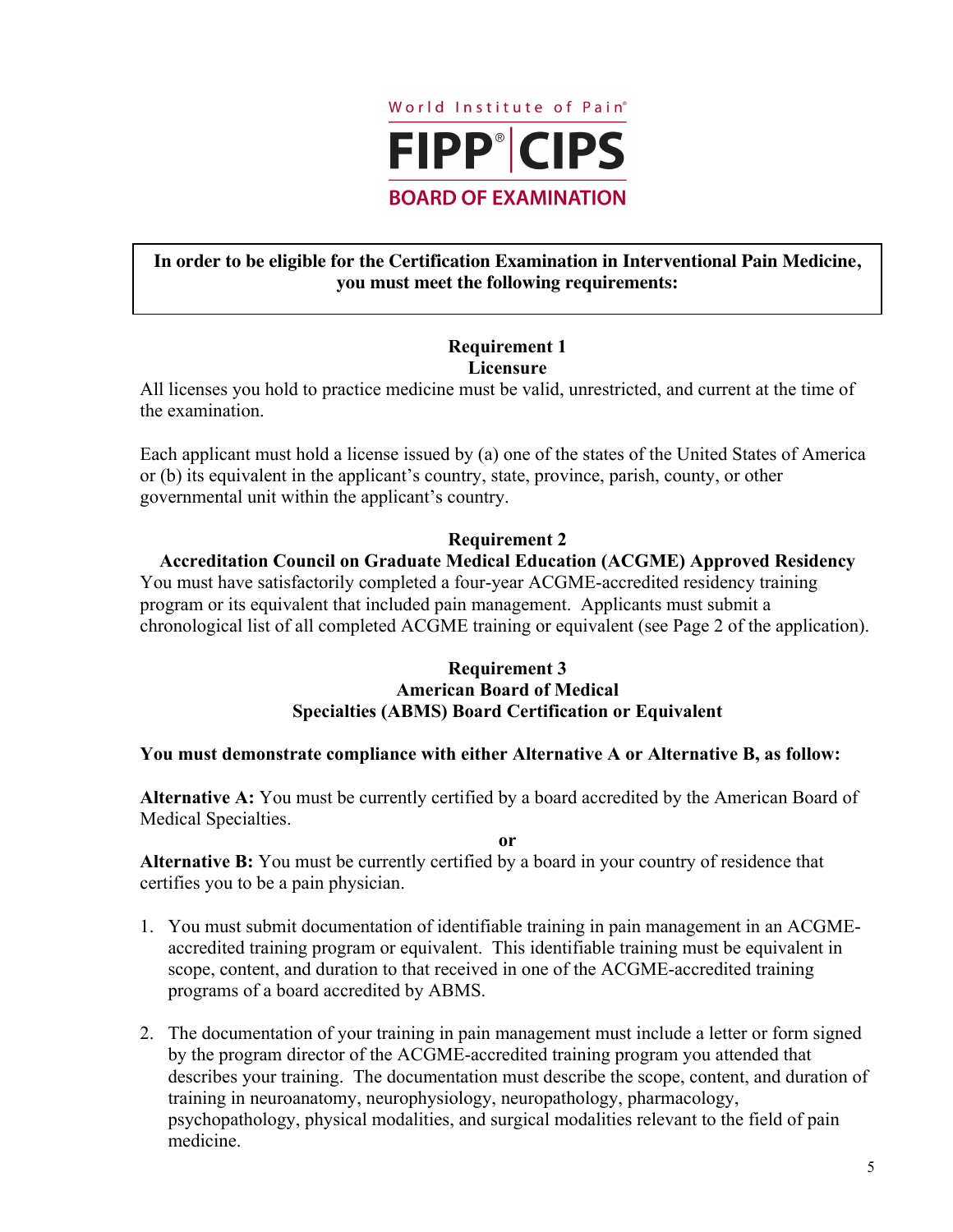

# **In order to be eligible for the Certification Examination in Interventional Pain Medicine, you must meet the following requirements:**

#### **Requirement 1 Licensure**

All licenses you hold to practice medicine must be valid, unrestricted, and current at the time of the examination.

Each applicant must hold a license issued by (a) one of the states of the United States of America or (b) its equivalent in the applicant's country, state, province, parish, county, or other governmental unit within the applicant's country.

# **Requirement 2**

# **Accreditation Council on Graduate Medical Education (ACGME) Approved Residency**

You must have satisfactorily completed a four-year ACGME-accredited residency training program or its equivalent that included pain management. Applicants must submit a chronological list of all completed ACGME training or equivalent (see Page 2 of the application).

# **Requirement 3 American Board of Medical Specialties (ABMS) Board Certification or Equivalent**

#### **You must demonstrate compliance with either Alternative A or Alternative B, as follow:**

**Alternative A:** You must be currently certified by a board accredited by the American Board of Medical Specialties.

**or**

**Alternative B:** You must be currently certified by a board in your country of residence that certifies you to be a pain physician.

- 1. You must submit documentation of identifiable training in pain management in an ACGMEaccredited training program or equivalent. This identifiable training must be equivalent in scope, content, and duration to that received in one of the ACGME-accredited training programs of a board accredited by ABMS.
- 2. The documentation of your training in pain management must include a letter or form signed by the program director of the ACGME-accredited training program you attended that describes your training. The documentation must describe the scope, content, and duration of training in neuroanatomy, neurophysiology, neuropathology, pharmacology, psychopathology, physical modalities, and surgical modalities relevant to the field of pain medicine.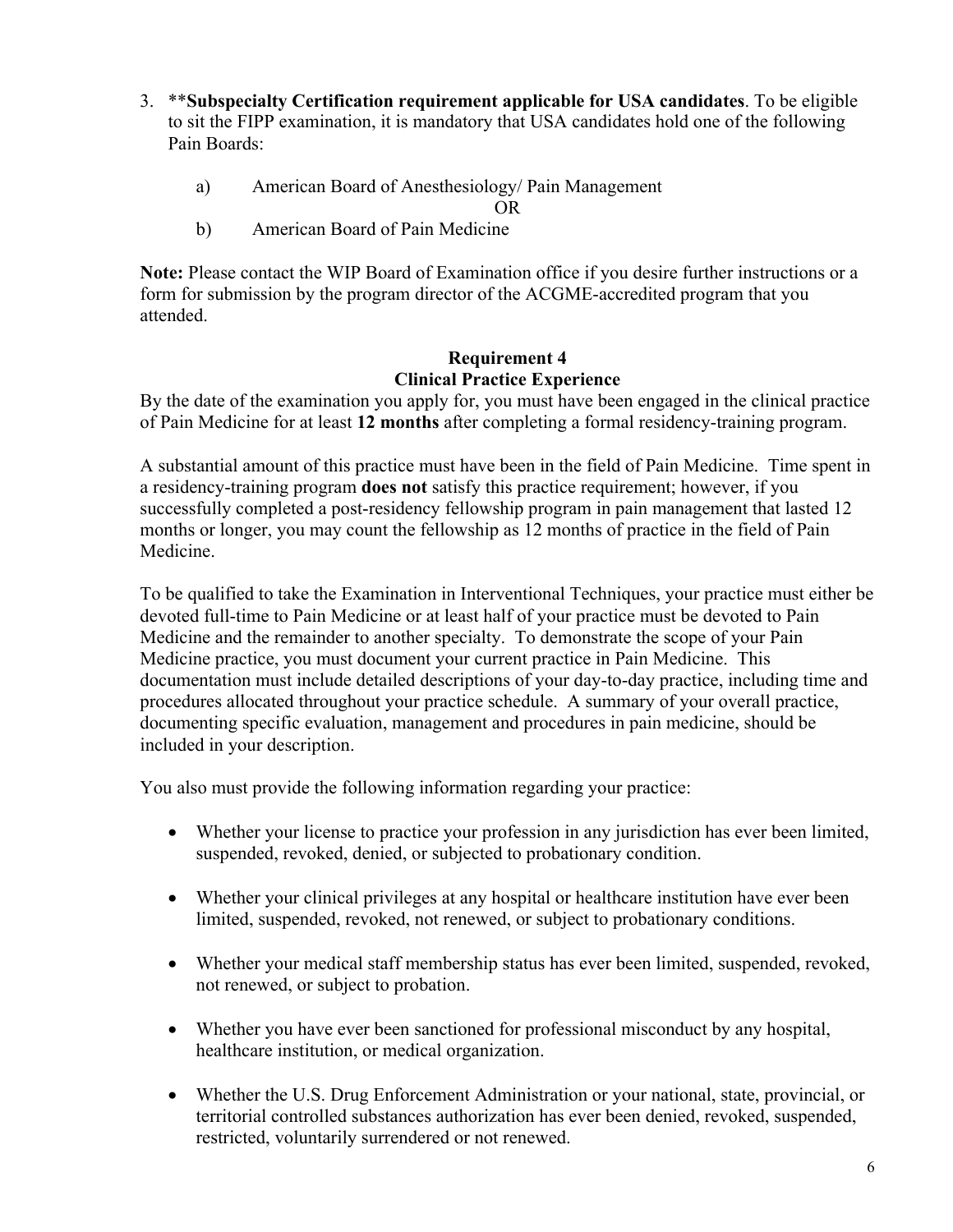- 3. \*\***Subspecialty Certification requirement applicable for USA candidates**. To be eligible to sit the FIPP examination, it is mandatory that USA candidates hold one of the following Pain Boards:
	- a) American Board of Anesthesiology/ Pain Management

OR

b) American Board of Pain Medicine

**Note:** Please contact the WIP Board of Examination office if you desire further instructions or a form for submission by the program director of the ACGME-accredited program that you attended.

# **Requirement 4 Clinical Practice Experience**

By the date of the examination you apply for, you must have been engaged in the clinical practice of Pain Medicine for at least **12 months** after completing a formal residency-training program.

A substantial amount of this practice must have been in the field of Pain Medicine. Time spent in a residency-training program **does not** satisfy this practice requirement; however, if you successfully completed a post-residency fellowship program in pain management that lasted 12 months or longer, you may count the fellowship as 12 months of practice in the field of Pain Medicine.

To be qualified to take the Examination in Interventional Techniques, your practice must either be devoted full-time to Pain Medicine or at least half of your practice must be devoted to Pain Medicine and the remainder to another specialty. To demonstrate the scope of your Pain Medicine practice, you must document your current practice in Pain Medicine. This documentation must include detailed descriptions of your day-to-day practice, including time and procedures allocated throughout your practice schedule. A summary of your overall practice, documenting specific evaluation, management and procedures in pain medicine, should be included in your description.

You also must provide the following information regarding your practice:

- Whether your license to practice your profession in any jurisdiction has ever been limited, suspended, revoked, denied, or subjected to probationary condition.
- Whether your clinical privileges at any hospital or healthcare institution have ever been limited, suspended, revoked, not renewed, or subject to probationary conditions.
- Whether your medical staff membership status has ever been limited, suspended, revoked, not renewed, or subject to probation.
- Whether you have ever been sanctioned for professional misconduct by any hospital, healthcare institution, or medical organization.
- Whether the U.S. Drug Enforcement Administration or your national, state, provincial, or territorial controlled substances authorization has ever been denied, revoked, suspended, restricted, voluntarily surrendered or not renewed.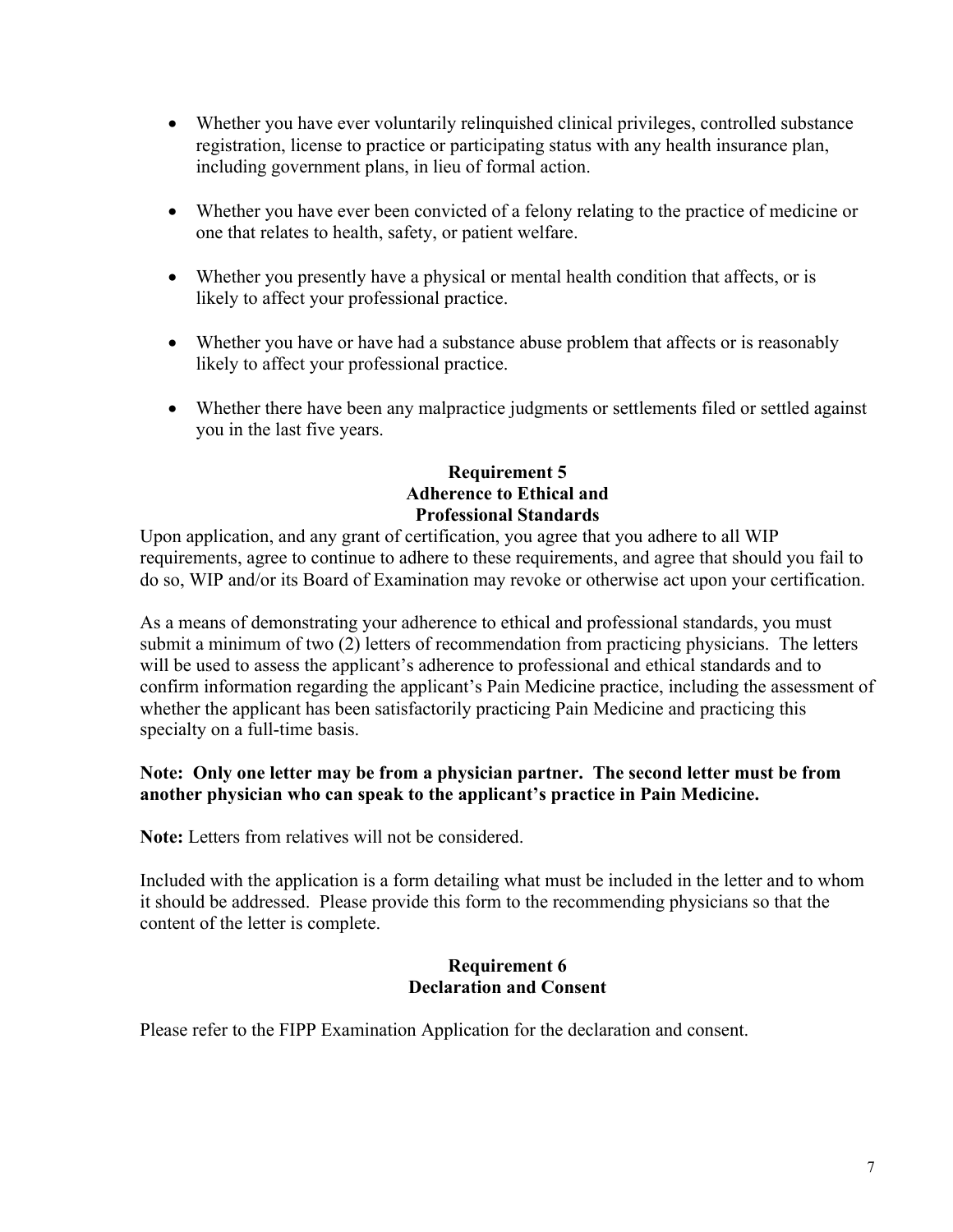- Whether you have ever voluntarily relinquished clinical privileges, controlled substance registration, license to practice or participating status with any health insurance plan, including government plans, in lieu of formal action.
- Whether you have ever been convicted of a felony relating to the practice of medicine or one that relates to health, safety, or patient welfare.
- Whether you presently have a physical or mental health condition that affects, or is likely to affect your professional practice.
- Whether you have or have had a substance abuse problem that affects or is reasonably likely to affect your professional practice.
- Whether there have been any malpractice judgments or settlements filed or settled against you in the last five years.

# **Requirement 5 Adherence to Ethical and Professional Standards**

Upon application, and any grant of certification, you agree that you adhere to all WIP requirements, agree to continue to adhere to these requirements, and agree that should you fail to do so, WIP and/or its Board of Examination may revoke or otherwise act upon your certification.

As a means of demonstrating your adherence to ethical and professional standards, you must submit a minimum of two (2) letters of recommendation from practicing physicians. The letters will be used to assess the applicant's adherence to professional and ethical standards and to confirm information regarding the applicant's Pain Medicine practice, including the assessment of whether the applicant has been satisfactorily practicing Pain Medicine and practicing this specialty on a full-time basis.

# **Note: Only one letter may be from a physician partner. The second letter must be from another physician who can speak to the applicant's practice in Pain Medicine.**

**Note:** Letters from relatives will not be considered.

Included with the application is a form detailing what must be included in the letter and to whom it should be addressed. Please provide this form to the recommending physicians so that the content of the letter is complete.

#### **Requirement 6 Declaration and Consent**

Please refer to the FIPP Examination Application for the declaration and consent.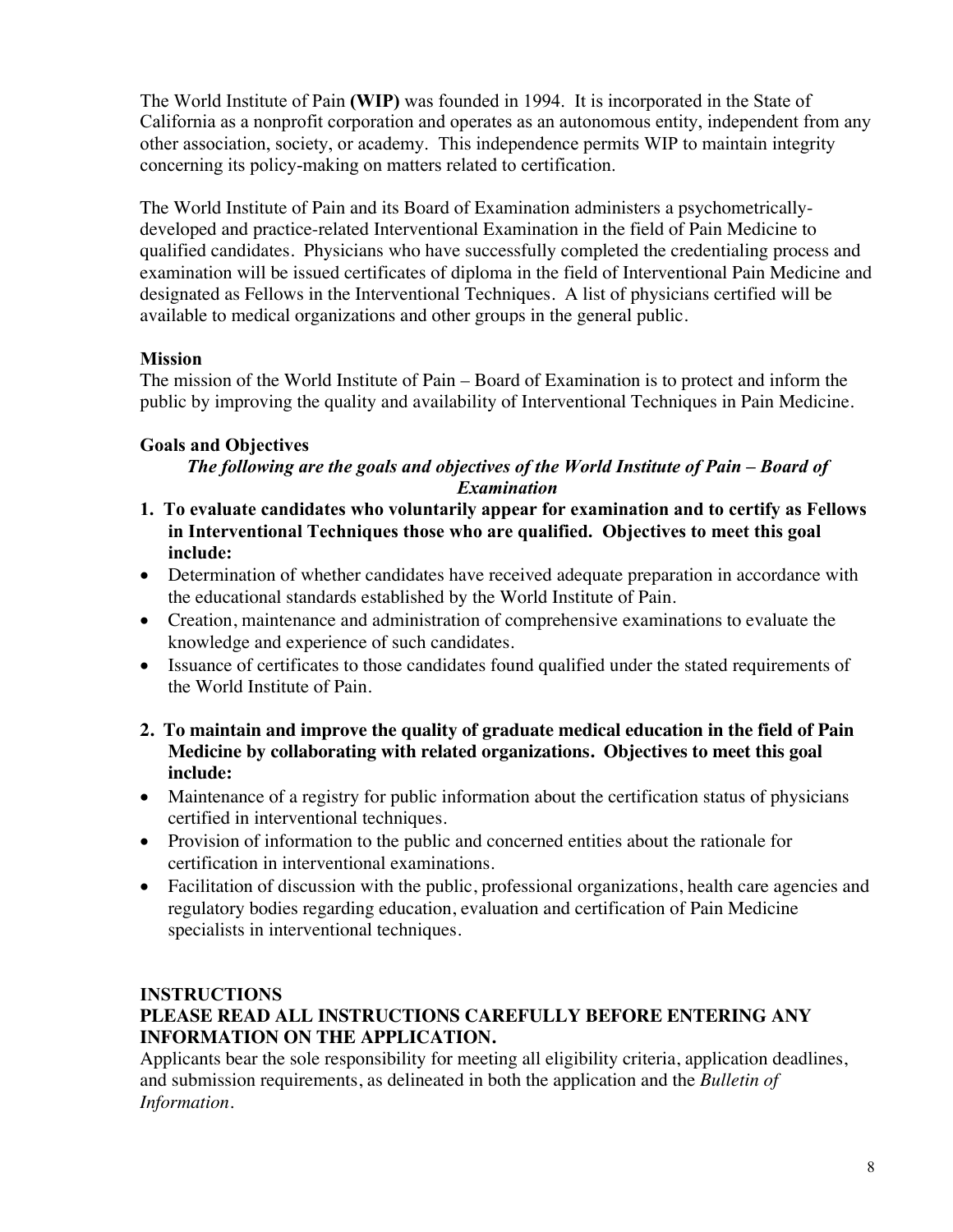The World Institute of Pain **(WIP)** was founded in 1994. It is incorporated in the State of California as a nonprofit corporation and operates as an autonomous entity, independent from any other association, society, or academy. This independence permits WIP to maintain integrity concerning its policy-making on matters related to certification.

The World Institute of Pain and its Board of Examination administers a psychometricallydeveloped and practice-related Interventional Examination in the field of Pain Medicine to qualified candidates. Physicians who have successfully completed the credentialing process and examination will be issued certificates of diploma in the field of Interventional Pain Medicine and designated as Fellows in the Interventional Techniques. A list of physicians certified will be available to medical organizations and other groups in the general public.

# **Mission**

The mission of the World Institute of Pain – Board of Examination is to protect and inform the public by improving the quality and availability of Interventional Techniques in Pain Medicine.

# **Goals and Objectives**

# *The following are the goals and objectives of the World Institute of Pain – Board of Examination*

- **1. To evaluate candidates who voluntarily appear for examination and to certify as Fellows in Interventional Techniques those who are qualified. Objectives to meet this goal include:**
- Determination of whether candidates have received adequate preparation in accordance with the educational standards established by the World Institute of Pain.
- Creation, maintenance and administration of comprehensive examinations to evaluate the knowledge and experience of such candidates.
- Issuance of certificates to those candidates found qualified under the stated requirements of the World Institute of Pain.
- **2. To maintain and improve the quality of graduate medical education in the field of Pain Medicine by collaborating with related organizations. Objectives to meet this goal include:**
- Maintenance of a registry for public information about the certification status of physicians certified in interventional techniques.
- Provision of information to the public and concerned entities about the rationale for certification in interventional examinations.
- Facilitation of discussion with the public, professional organizations, health care agencies and regulatory bodies regarding education, evaluation and certification of Pain Medicine specialists in interventional techniques.

# **INSTRUCTIONS**

# **PLEASE READ ALL INSTRUCTIONS CAREFULLY BEFORE ENTERING ANY INFORMATION ON THE APPLICATION.**

Applicants bear the sole responsibility for meeting all eligibility criteria, application deadlines, and submission requirements, as delineated in both the application and the *Bulletin of Information.*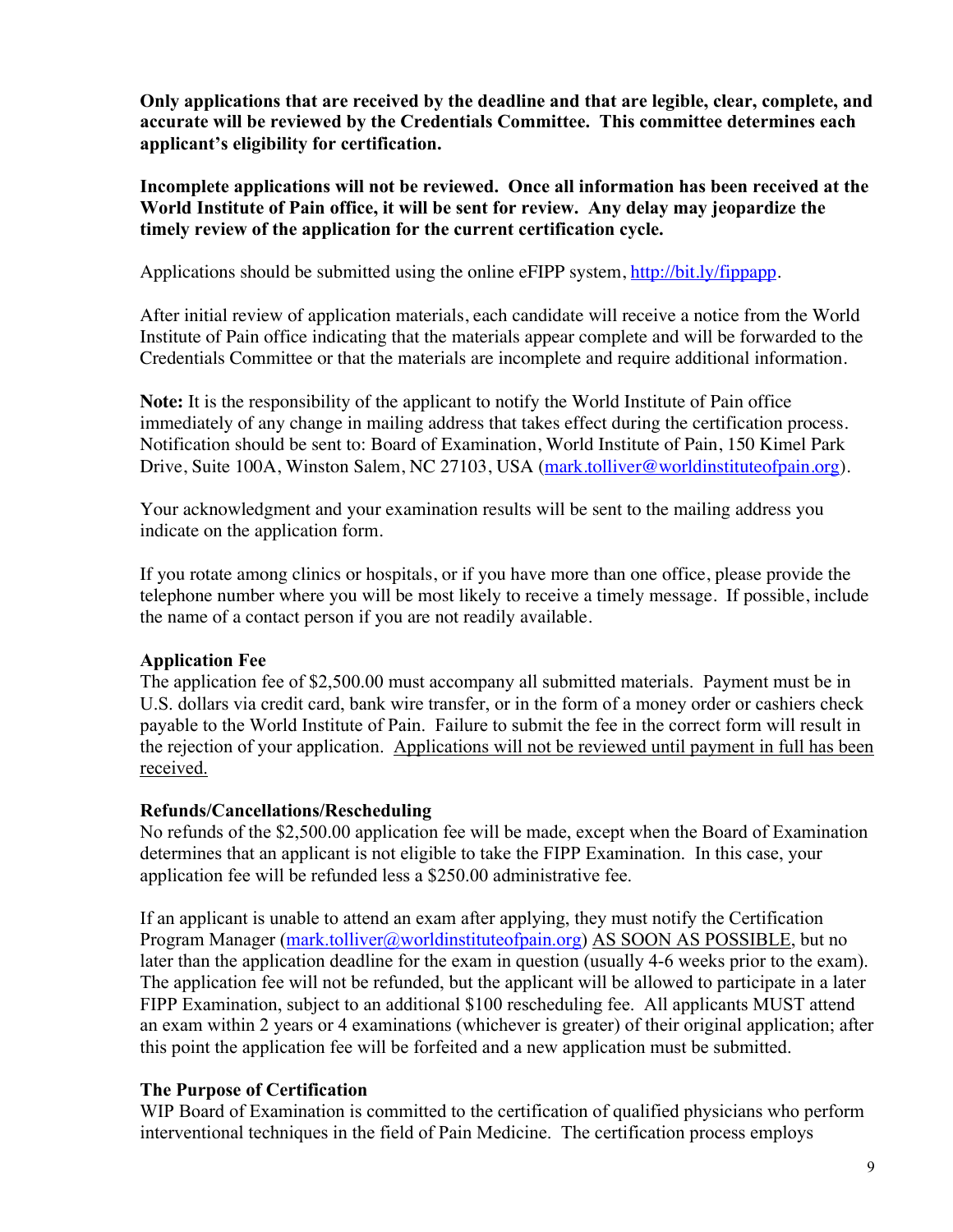**Only applications that are received by the deadline and that are legible, clear, complete, and accurate will be reviewed by the Credentials Committee. This committee determines each applicant's eligibility for certification.**

**Incomplete applications will not be reviewed. Once all information has been received at the World Institute of Pain office, it will be sent for review. Any delay may jeopardize the timely review of the application for the current certification cycle.**

Applications should be submitted using the online eFIPP system, http://bit.ly/fippapp.

After initial review of application materials, each candidate will receive a notice from the World Institute of Pain office indicating that the materials appear complete and will be forwarded to the Credentials Committee or that the materials are incomplete and require additional information.

**Note:** It is the responsibility of the applicant to notify the World Institute of Pain office immediately of any change in mailing address that takes effect during the certification process. Notification should be sent to: Board of Examination, World Institute of Pain, 150 Kimel Park Drive, Suite 100A, Winston Salem, NC 27103, USA (mark.tolliver@worldinstituteofpain.org).

Your acknowledgment and your examination results will be sent to the mailing address you indicate on the application form.

If you rotate among clinics or hospitals, or if you have more than one office, please provide the telephone number where you will be most likely to receive a timely message. If possible, include the name of a contact person if you are not readily available.

# **Application Fee**

The application fee of \$2,500.00 must accompany all submitted materials. Payment must be in U.S. dollars via credit card, bank wire transfer, or in the form of a money order or cashiers check payable to the World Institute of Pain. Failure to submit the fee in the correct form will result in the rejection of your application. Applications will not be reviewed until payment in full has been received.

# **Refunds/Cancellations/Rescheduling**

No refunds of the \$2,500.00 application fee will be made, except when the Board of Examination determines that an applicant is not eligible to take the FIPP Examination. In this case, your application fee will be refunded less a \$250.00 administrative fee.

If an applicant is unable to attend an exam after applying, they must notify the Certification Program Manager (mark.tolliver@worldinstituteofpain.org) AS SOON AS POSSIBLE, but no later than the application deadline for the exam in question (usually 4-6 weeks prior to the exam). The application fee will not be refunded, but the applicant will be allowed to participate in a later FIPP Examination, subject to an additional \$100 rescheduling fee. All applicants MUST attend an exam within 2 years or 4 examinations (whichever is greater) of their original application; after this point the application fee will be forfeited and a new application must be submitted.

# **The Purpose of Certification**

WIP Board of Examination is committed to the certification of qualified physicians who perform interventional techniques in the field of Pain Medicine. The certification process employs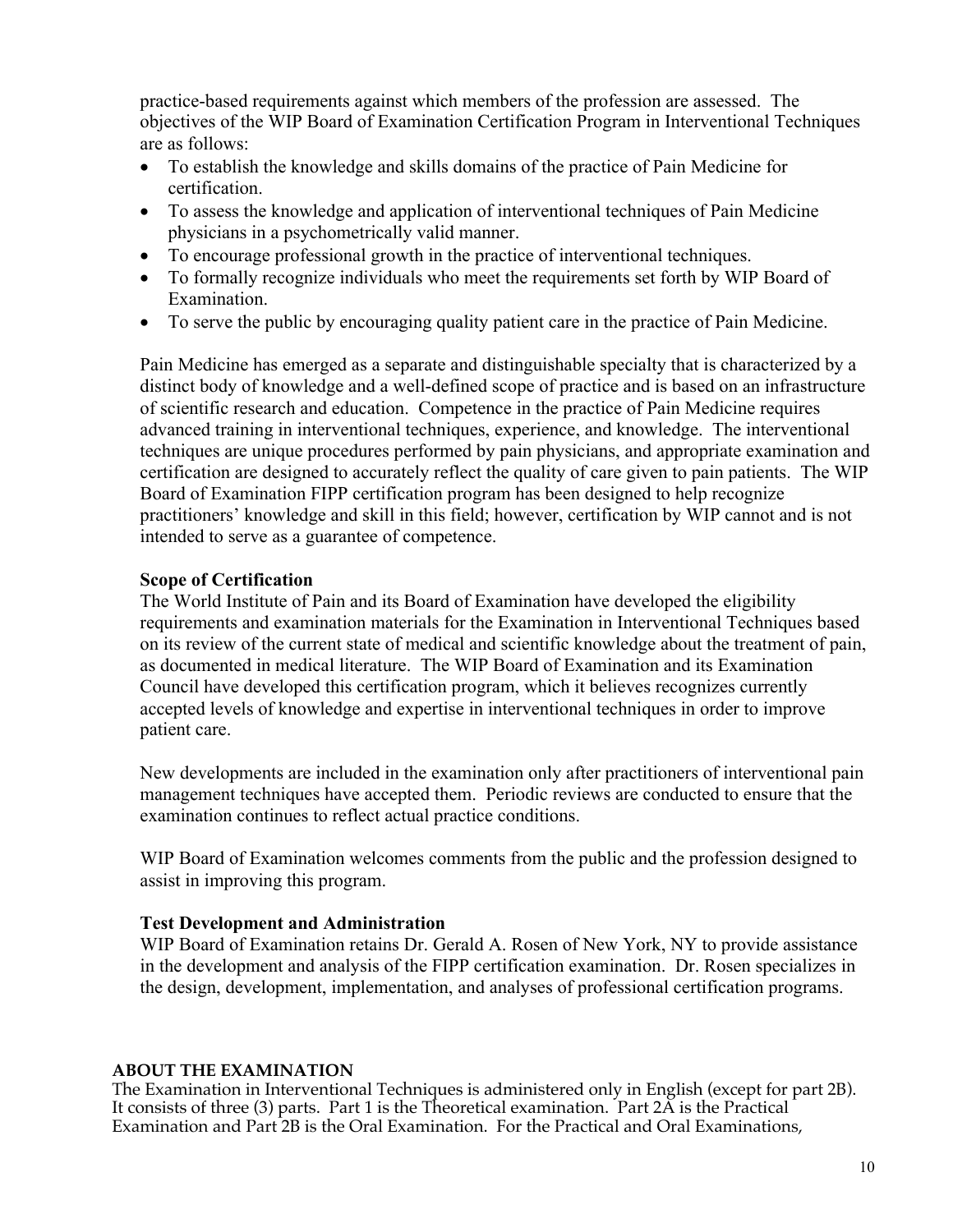practice-based requirements against which members of the profession are assessed. The objectives of the WIP Board of Examination Certification Program in Interventional Techniques are as follows:

- To establish the knowledge and skills domains of the practice of Pain Medicine for certification.
- To assess the knowledge and application of interventional techniques of Pain Medicine physicians in a psychometrically valid manner.
- To encourage professional growth in the practice of interventional techniques.
- To formally recognize individuals who meet the requirements set forth by WIP Board of Examination.
- To serve the public by encouraging quality patient care in the practice of Pain Medicine.

Pain Medicine has emerged as a separate and distinguishable specialty that is characterized by a distinct body of knowledge and a well-defined scope of practice and is based on an infrastructure of scientific research and education. Competence in the practice of Pain Medicine requires advanced training in interventional techniques, experience, and knowledge. The interventional techniques are unique procedures performed by pain physicians, and appropriate examination and certification are designed to accurately reflect the quality of care given to pain patients. The WIP Board of Examination FIPP certification program has been designed to help recognize practitioners' knowledge and skill in this field; however, certification by WIP cannot and is not intended to serve as a guarantee of competence.

#### **Scope of Certification**

The World Institute of Pain and its Board of Examination have developed the eligibility requirements and examination materials for the Examination in Interventional Techniques based on its review of the current state of medical and scientific knowledge about the treatment of pain, as documented in medical literature. The WIP Board of Examination and its Examination Council have developed this certification program, which it believes recognizes currently accepted levels of knowledge and expertise in interventional techniques in order to improve patient care.

New developments are included in the examination only after practitioners of interventional pain management techniques have accepted them. Periodic reviews are conducted to ensure that the examination continues to reflect actual practice conditions.

WIP Board of Examination welcomes comments from the public and the profession designed to assist in improving this program.

#### **Test Development and Administration**

WIP Board of Examination retains Dr. Gerald A. Rosen of New York, NY to provide assistance in the development and analysis of the FIPP certification examination. Dr. Rosen specializes in the design, development, implementation, and analyses of professional certification programs.

#### **ABOUT THE EXAMINATION**

The Examination in Interventional Techniques is administered only in English (except for part 2B). It consists of three (3) parts. Part 1 is the Theoretical examination. Part 2A is the Practical Examination and Part 2B is the Oral Examination. For the Practical and Oral Examinations,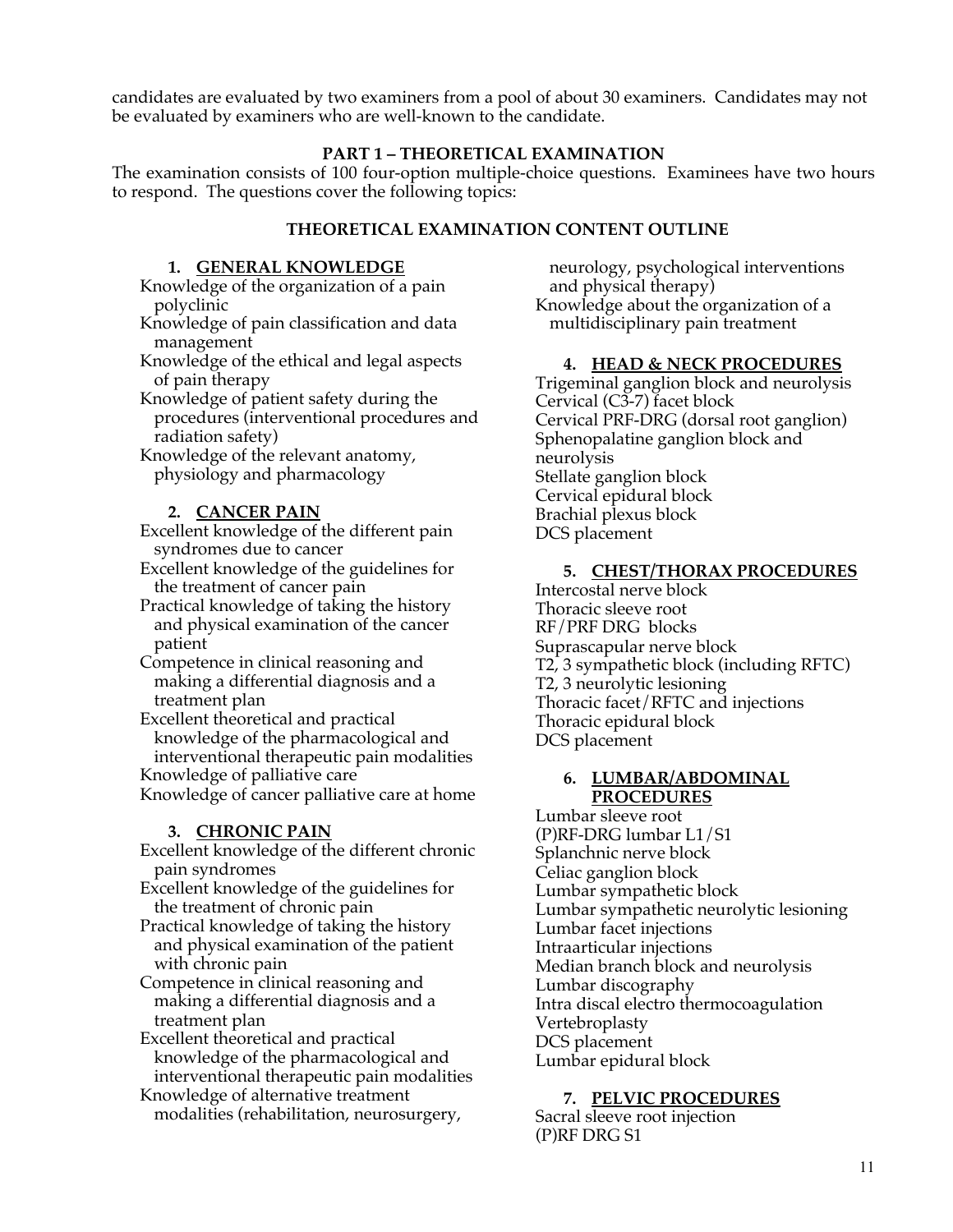candidates are evaluated by two examiners from a pool of about 30 examiners. Candidates may not be evaluated by examiners who are well-known to the candidate.

#### **PART 1 – THEORETICAL EXAMINATION**

The examination consists of 100 four-option multiple-choice questions. Examinees have two hours to respond. The questions cover the following topics:

#### **THEORETICAL EXAMINATION CONTENT OUTLINE**

#### **1. GENERAL KNOWLEDGE**

- Knowledge of the organization of a pain polyclinic
- Knowledge of pain classification and data management
- Knowledge of the ethical and legal aspects of pain therapy
- Knowledge of patient safety during the procedures (interventional procedures and radiation safety)
- Knowledge of the relevant anatomy, physiology and pharmacology

#### **2. CANCER PAIN**

Excellent knowledge of the different pain syndromes due to cancer

Excellent knowledge of the guidelines for the treatment of cancer pain

- Practical knowledge of taking the history and physical examination of the cancer patient
- Competence in clinical reasoning and making a differential diagnosis and a treatment plan
- Excellent theoretical and practical knowledge of the pharmacological and interventional therapeutic pain modalities Knowledge of palliative care

Knowledge of cancer palliative care at home

#### **3. CHRONIC PAIN**

Excellent knowledge of the different chronic pain syndromes

- Excellent knowledge of the guidelines for the treatment of chronic pain
- Practical knowledge of taking the history and physical examination of the patient with chronic pain

Competence in clinical reasoning and making a differential diagnosis and a treatment plan

Excellent theoretical and practical knowledge of the pharmacological and interventional therapeutic pain modalities

Knowledge of alternative treatment

modalities (rehabilitation, neurosurgery,

neurology, psychological interventions and physical therapy) Knowledge about the organization of a multidisciplinary pain treatment

#### **4. HEAD & NECK PROCEDURES**

Trigeminal ganglion block and neurolysis Cervical (C3-7) facet block Cervical PRF-DRG (dorsal root ganglion) Sphenopalatine ganglion block and neurolysis Stellate ganglion block Cervical epidural block Brachial plexus block DCS placement

#### **5. CHEST/THORAX PROCEDURES**

Intercostal nerve block Thoracic sleeve root RF/PRF DRG blocks Suprascapular nerve block T2, 3 sympathetic block (including RFTC) T2, 3 neurolytic lesioning Thoracic facet/RFTC and injections Thoracic epidural block DCS placement

#### **6. LUMBAR/ABDOMINAL PROCEDURES**

Lumbar sleeve root (P)RF-DRG lumbar L1/S1 Splanchnic nerve block Celiac ganglion block Lumbar sympathetic block Lumbar sympathetic neurolytic lesioning Lumbar facet injections Intraarticular injections Median branch block and neurolysis Lumbar discography Intra discal electro thermocoagulation Vertebroplasty DCS placement Lumbar epidural block

#### **7. PELVIC PROCEDURES**

Sacral sleeve root injection (P)RF DRG S1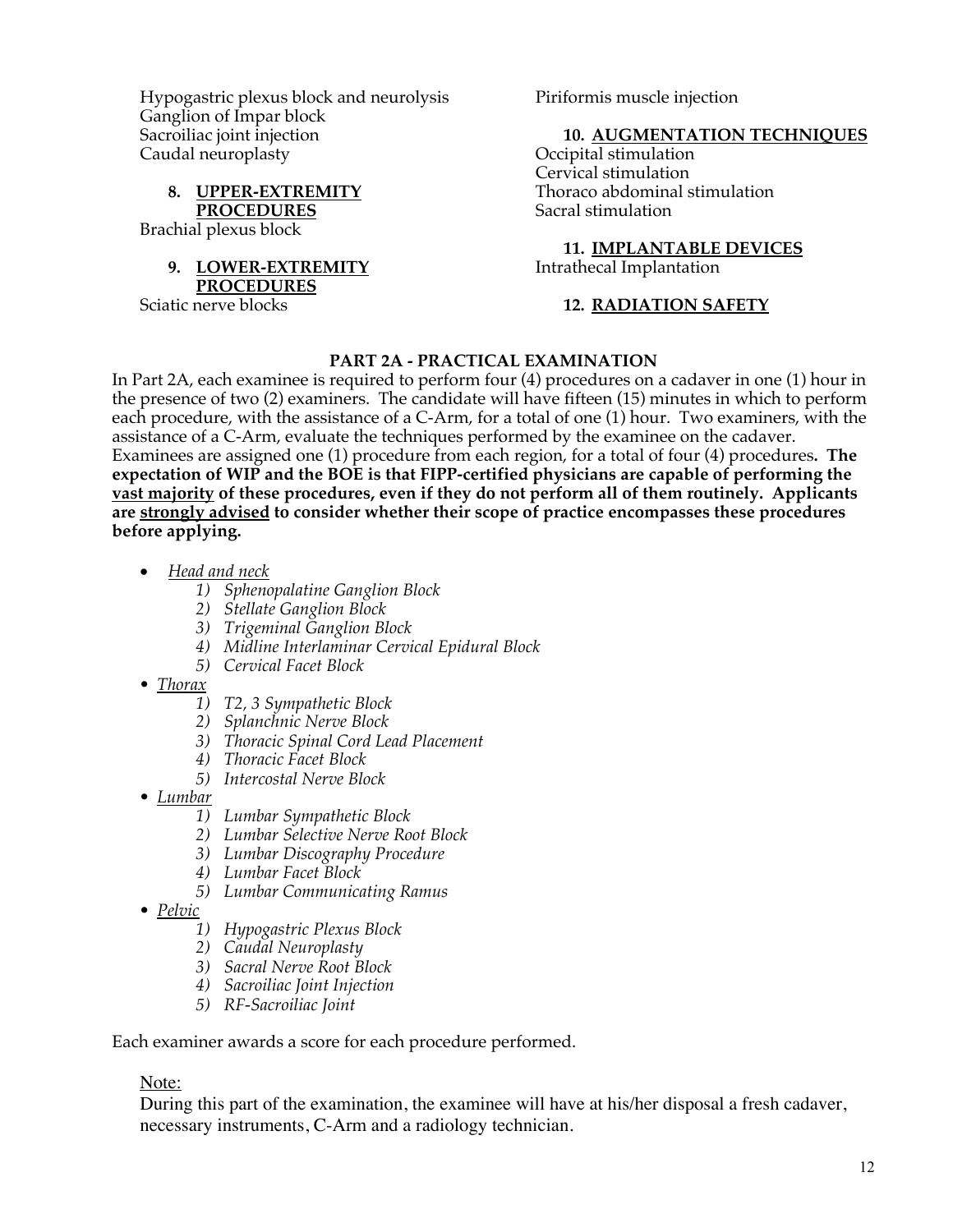Hypogastric plexus block and neurolysis Ganglion of Impar block Sacroiliac joint injection Caudal neuroplasty

**8. UPPER-EXTREMITY PROCEDURES** Brachial plexus block

# **9. LOWER-EXTREMITY PROCEDURES**

Sciatic nerve blocks

Piriformis muscle injection

#### **10. AUGMENTATION TECHNIQUES**

Occipital stimulation Cervical stimulation Thoraco abdominal stimulation Sacral stimulation

# **11. IMPLANTABLE DEVICES**

Intrathecal Implantation

#### **12. RADIATION SAFETY**

#### **PART 2A - PRACTICAL EXAMINATION**

In Part 2A, each examinee is required to perform four (4) procedures on a cadaver in one (1) hour in the presence of two (2) examiners. The candidate will have fifteen (15) minutes in which to perform each procedure, with the assistance of a C-Arm, for a total of one (1) hour. Two examiners, with the assistance of a C-Arm, evaluate the techniques performed by the examinee on the cadaver. Examinees are assigned one (1) procedure from each region, for a total of four (4) procedures**. The expectation of WIP and the BOE is that FIPP-certified physicians are capable of performing the vast majority of these procedures, even if they do not perform all of them routinely. Applicants are strongly advised to consider whether their scope of practice encompasses these procedures before applying.**

- *Head and neck*
	- *1) Sphenopalatine Ganglion Block*
	- *2) Stellate Ganglion Block*
	- *3) Trigeminal Ganglion Block*
	- *4) Midline Interlaminar Cervical Epidural Block*
	- *5) Cervical Facet Block*
- *Thorax*
	- *1) T2, 3 Sympathetic Block*
	- *2) Splanchnic Nerve Block*
	- *3) Thoracic Spinal Cord Lead Placement*
	- *4) Thoracic Facet Block*
	- *5) Intercostal Nerve Block*
- *Lumbar*
	- *1) Lumbar Sympathetic Block*
	- *2) Lumbar Selective Nerve Root Block*
	- *3) Lumbar Discography Procedure*
	- *4) Lumbar Facet Block*
	- *5) Lumbar Communicating Ramus*
- *Pelvic*
	- *1) Hypogastric Plexus Block*
	- *2) Caudal Neuroplasty*
	- *3) Sacral Nerve Root Block*
	- *4) Sacroiliac Joint Injection*
	- *5) RF-Sacroiliac Joint*

Each examiner awards a score for each procedure performed.

#### Note:

During this part of the examination, the examinee will have at his/her disposal a fresh cadaver, necessary instruments, C-Arm and a radiology technician.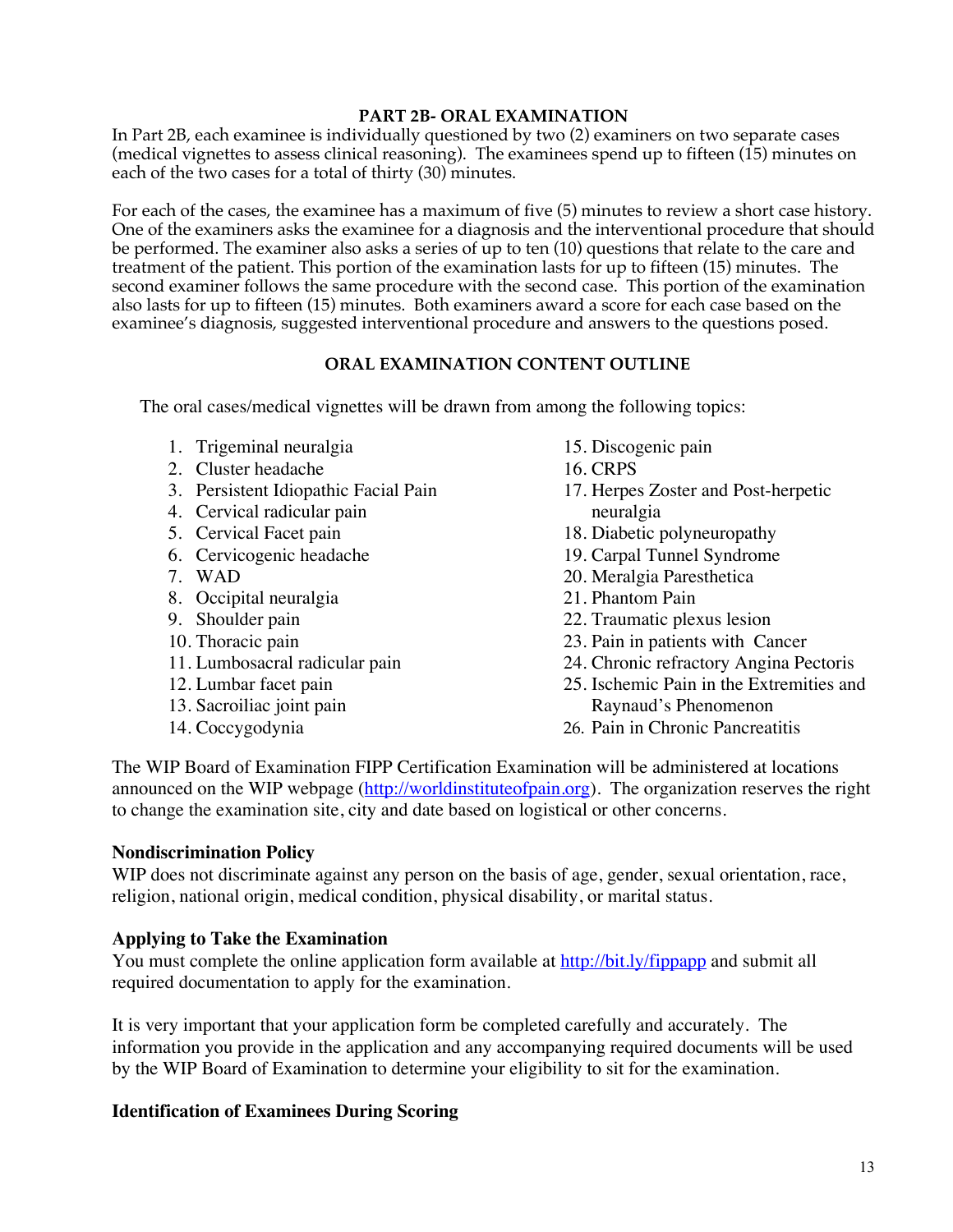#### **PART 2B- ORAL EXAMINATION**

In Part 2B, each examinee is individually questioned by two (2) examiners on two separate cases (medical vignettes to assess clinical reasoning). The examinees spend up to fifteen  $(15)$  minutes on each of the two cases for a total of thirty (30) minutes.

For each of the cases, the examinee has a maximum of five (5) minutes to review a short case history. One of the examiners asks the examinee for a diagnosis and the interventional procedure that should be performed. The examiner also asks a series of up to ten (10) questions that relate to the care and treatment of the patient. This portion of the examination lasts for up to fifteen (15) minutes. The second examiner follows the same procedure with the second case. This portion of the examination also lasts for up to fifteen (15) minutes. Both examiners award a score for each case based on the examinee's diagnosis, suggested interventional procedure and answers to the questions posed.

#### **ORAL EXAMINATION CONTENT OUTLINE**

The oral cases/medical vignettes will be drawn from among the following topics:

- 1. Trigeminal neuralgia
- 2. Cluster headache
- 3. Persistent Idiopathic Facial Pain
- 4. Cervical radicular pain
- 5. Cervical Facet pain
- 6. Cervicogenic headache
- 7. WAD
- 8. Occipital neuralgia
- 9. Shoulder pain
- 10. Thoracic pain
- 11. Lumbosacral radicular pain
- 12. Lumbar facet pain
- 13. Sacroiliac joint pain
- 14. Coccygodynia
- 15. Discogenic pain
- 16. CRPS
- 17. Herpes Zoster and Post-herpetic neuralgia
- 18. Diabetic polyneuropathy
- 19. Carpal Tunnel Syndrome
- 20. Meralgia Paresthetica
- 21. Phantom Pain
- 22. Traumatic plexus lesion
- 23. Pain in patients with Cancer
- 24. Chronic refractory Angina Pectoris
- 25. Ischemic Pain in the Extremities and Raynaud's Phenomenon
- 26. Pain in Chronic Pancreatitis

The WIP Board of Examination FIPP Certification Examination will be administered at locations announced on the WIP webpage (http://worldinstituteofpain.org). The organization reserves the right to change the examination site, city and date based on logistical or other concerns.

#### **Nondiscrimination Policy**

WIP does not discriminate against any person on the basis of age, gender, sexual orientation, race, religion, national origin, medical condition, physical disability, or marital status.

# **Applying to Take the Examination**

You must complete the online application form available at http://bit.ly/fippapp and submit all required documentation to apply for the examination.

It is very important that your application form be completed carefully and accurately. The information you provide in the application and any accompanying required documents will be used by the WIP Board of Examination to determine your eligibility to sit for the examination.

# **Identification of Examinees During Scoring**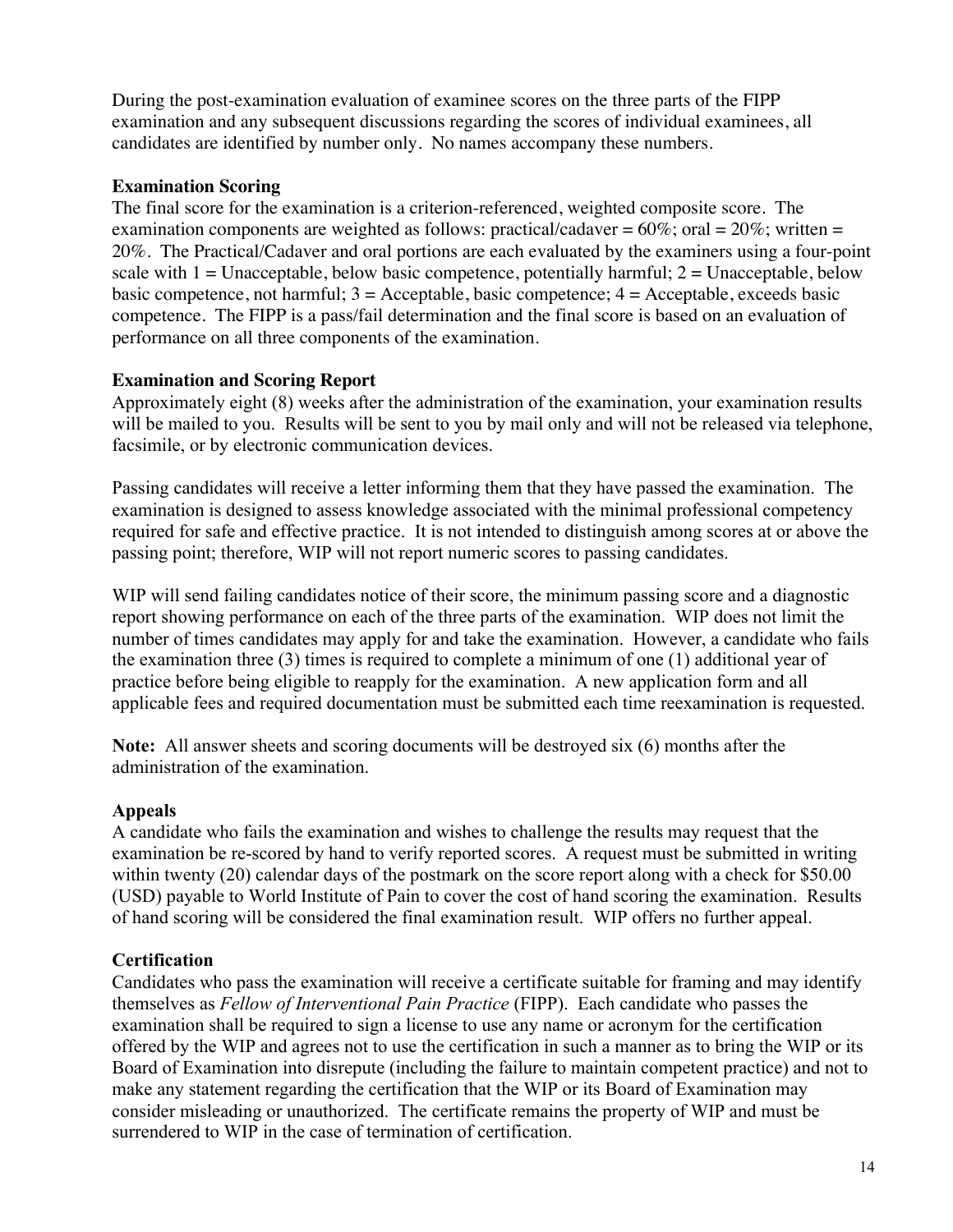During the post-examination evaluation of examinee scores on the three parts of the FIPP examination and any subsequent discussions regarding the scores of individual examinees, all candidates are identified by number only. No names accompany these numbers.

#### **Examination Scoring**

The final score for the examination is a criterion-referenced, weighted composite score. The examination components are weighted as follows: practical/cadaver =  $60\%$ ; oral =  $20\%$ ; written = 20%. The Practical/Cadaver and oral portions are each evaluated by the examiners using a four-point scale with  $1 =$  Unacceptable, below basic competence, potentially harmful;  $2 =$  Unacceptable, below basic competence, not harmful;  $3 =$  Acceptable, basic competence;  $4 =$  Acceptable, exceeds basic competence. The FIPP is a pass/fail determination and the final score is based on an evaluation of performance on all three components of the examination.

# **Examination and Scoring Report**

Approximately eight (8) weeks after the administration of the examination, your examination results will be mailed to you. Results will be sent to you by mail only and will not be released via telephone, facsimile, or by electronic communication devices.

Passing candidates will receive a letter informing them that they have passed the examination. The examination is designed to assess knowledge associated with the minimal professional competency required for safe and effective practice. It is not intended to distinguish among scores at or above the passing point; therefore, WIP will not report numeric scores to passing candidates.

WIP will send failing candidates notice of their score, the minimum passing score and a diagnostic report showing performance on each of the three parts of the examination. WIP does not limit the number of times candidates may apply for and take the examination. However, a candidate who fails the examination three (3) times is required to complete a minimum of one (1) additional year of practice before being eligible to reapply for the examination. A new application form and all applicable fees and required documentation must be submitted each time reexamination is requested.

**Note:** All answer sheets and scoring documents will be destroyed six (6) months after the administration of the examination.

# **Appeals**

A candidate who fails the examination and wishes to challenge the results may request that the examination be re-scored by hand to verify reported scores. A request must be submitted in writing within twenty (20) calendar days of the postmark on the score report along with a check for \$50.00 (USD) payable to World Institute of Pain to cover the cost of hand scoring the examination. Results of hand scoring will be considered the final examination result. WIP offers no further appeal.

# **Certification**

Candidates who pass the examination will receive a certificate suitable for framing and may identify themselves as *Fellow of Interventional Pain Practice* (FIPP). Each candidate who passes the examination shall be required to sign a license to use any name or acronym for the certification offered by the WIP and agrees not to use the certification in such a manner as to bring the WIP or its Board of Examination into disrepute (including the failure to maintain competent practice) and not to make any statement regarding the certification that the WIP or its Board of Examination may consider misleading or unauthorized. The certificate remains the property of WIP and must be surrendered to WIP in the case of termination of certification.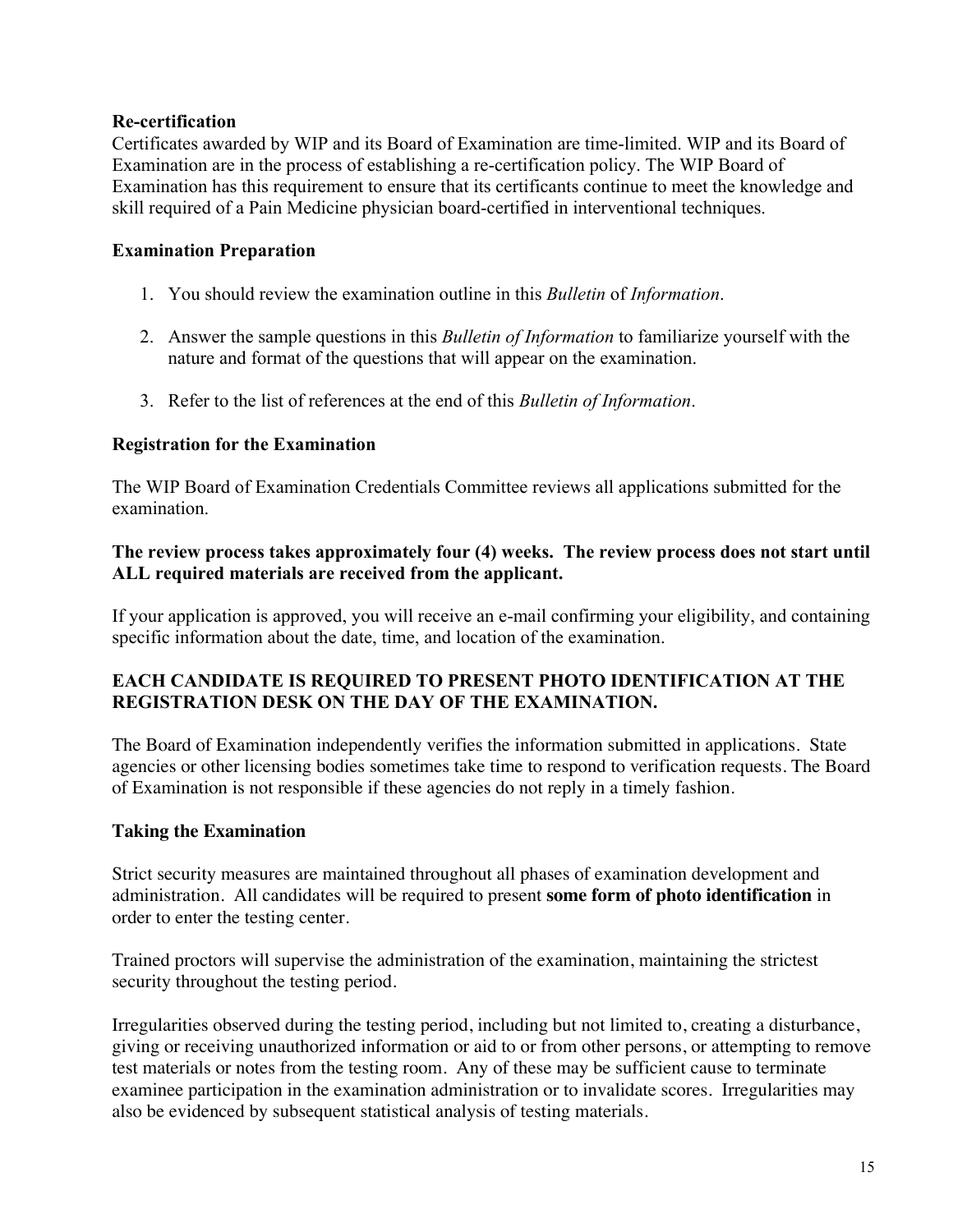#### **Re-certification**

Certificates awarded by WIP and its Board of Examination are time-limited. WIP and its Board of Examination are in the process of establishing a re-certification policy. The WIP Board of Examination has this requirement to ensure that its certificants continue to meet the knowledge and skill required of a Pain Medicine physician board-certified in interventional techniques.

#### **Examination Preparation**

- 1. You should review the examination outline in this *Bulletin* of *Information*.
- 2. Answer the sample questions in this *Bulletin of Information* to familiarize yourself with the nature and format of the questions that will appear on the examination.
- 3. Refer to the list of references at the end of this *Bulletin of Information*.

#### **Registration for the Examination**

The WIP Board of Examination Credentials Committee reviews all applications submitted for the examination.

# **The review process takes approximately four (4) weeks. The review process does not start until ALL required materials are received from the applicant.**

If your application is approved, you will receive an e-mail confirming your eligibility, and containing specific information about the date, time, and location of the examination.

# **EACH CANDIDATE IS REQUIRED TO PRESENT PHOTO IDENTIFICATION AT THE REGISTRATION DESK ON THE DAY OF THE EXAMINATION.**

The Board of Examination independently verifies the information submitted in applications. State agencies or other licensing bodies sometimes take time to respond to verification requests. The Board of Examination is not responsible if these agencies do not reply in a timely fashion.

#### **Taking the Examination**

Strict security measures are maintained throughout all phases of examination development and administration. All candidates will be required to present **some form of photo identification** in order to enter the testing center.

Trained proctors will supervise the administration of the examination, maintaining the strictest security throughout the testing period.

Irregularities observed during the testing period, including but not limited to, creating a disturbance, giving or receiving unauthorized information or aid to or from other persons, or attempting to remove test materials or notes from the testing room. Any of these may be sufficient cause to terminate examinee participation in the examination administration or to invalidate scores. Irregularities may also be evidenced by subsequent statistical analysis of testing materials.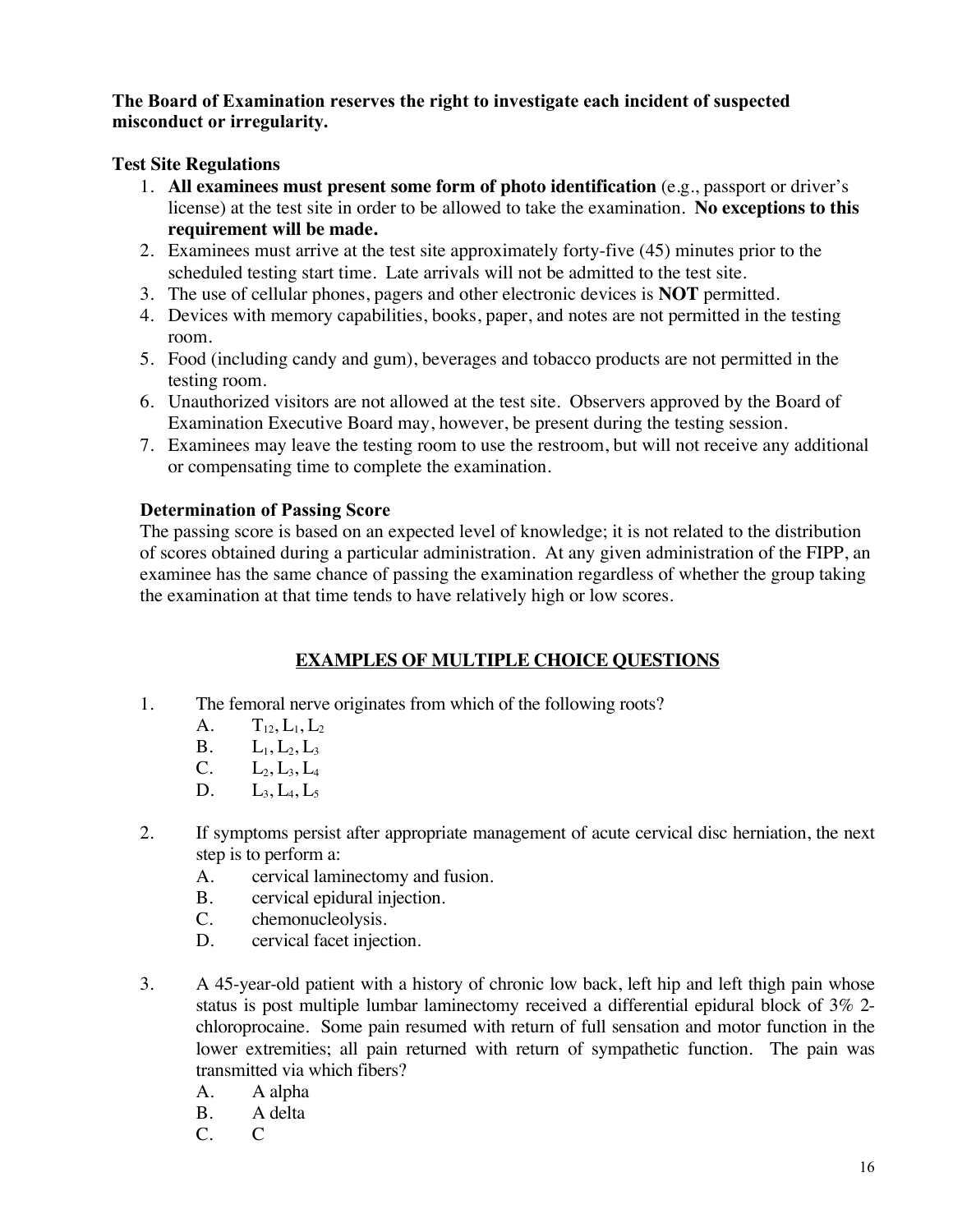# **The Board of Examination reserves the right to investigate each incident of suspected misconduct or irregularity.**

# **Test Site Regulations**

- 1. **All examinees must present some form of photo identification** (e.g., passport or driver's license) at the test site in order to be allowed to take the examination. **No exceptions to this requirement will be made.**
- 2. Examinees must arrive at the test site approximately forty-five (45) minutes prior to the scheduled testing start time. Late arrivals will not be admitted to the test site.
- 3. The use of cellular phones, pagers and other electronic devices is **NOT** permitted.
- 4. Devices with memory capabilities, books, paper, and notes are not permitted in the testing room.
- 5. Food (including candy and gum), beverages and tobacco products are not permitted in the testing room.
- 6. Unauthorized visitors are not allowed at the test site. Observers approved by the Board of Examination Executive Board may, however, be present during the testing session.
- 7. Examinees may leave the testing room to use the restroom, but will not receive any additional or compensating time to complete the examination.

# **Determination of Passing Score**

The passing score is based on an expected level of knowledge; it is not related to the distribution of scores obtained during a particular administration. At any given administration of the FIPP, an examinee has the same chance of passing the examination regardless of whether the group taking the examination at that time tends to have relatively high or low scores.

# **EXAMPLES OF MULTIPLE CHOICE QUESTIONS**

- 1. The femoral nerve originates from which of the following roots?
	- A.  $T_{12}, L_1, L_2$
	- $B. \qquad L_1, L_2, L_3$
	- $C. \qquad L_2, L_3, L_4$
	- D.  $L_3, L_4, L_5$
- 2. If symptoms persist after appropriate management of acute cervical disc herniation, the next step is to perform a:
	- A. cervical laminectomy and fusion.
	- B. cervical epidural injection.
	- C. chemonucleolysis.
	- D. cervical facet injection.
- 3. A 45-year-old patient with a history of chronic low back, left hip and left thigh pain whose status is post multiple lumbar laminectomy received a differential epidural block of 3% 2 chloroprocaine. Some pain resumed with return of full sensation and motor function in the lower extremities; all pain returned with return of sympathetic function. The pain was transmitted via which fibers?
	- A. A alpha
	- B. A delta
	- C. C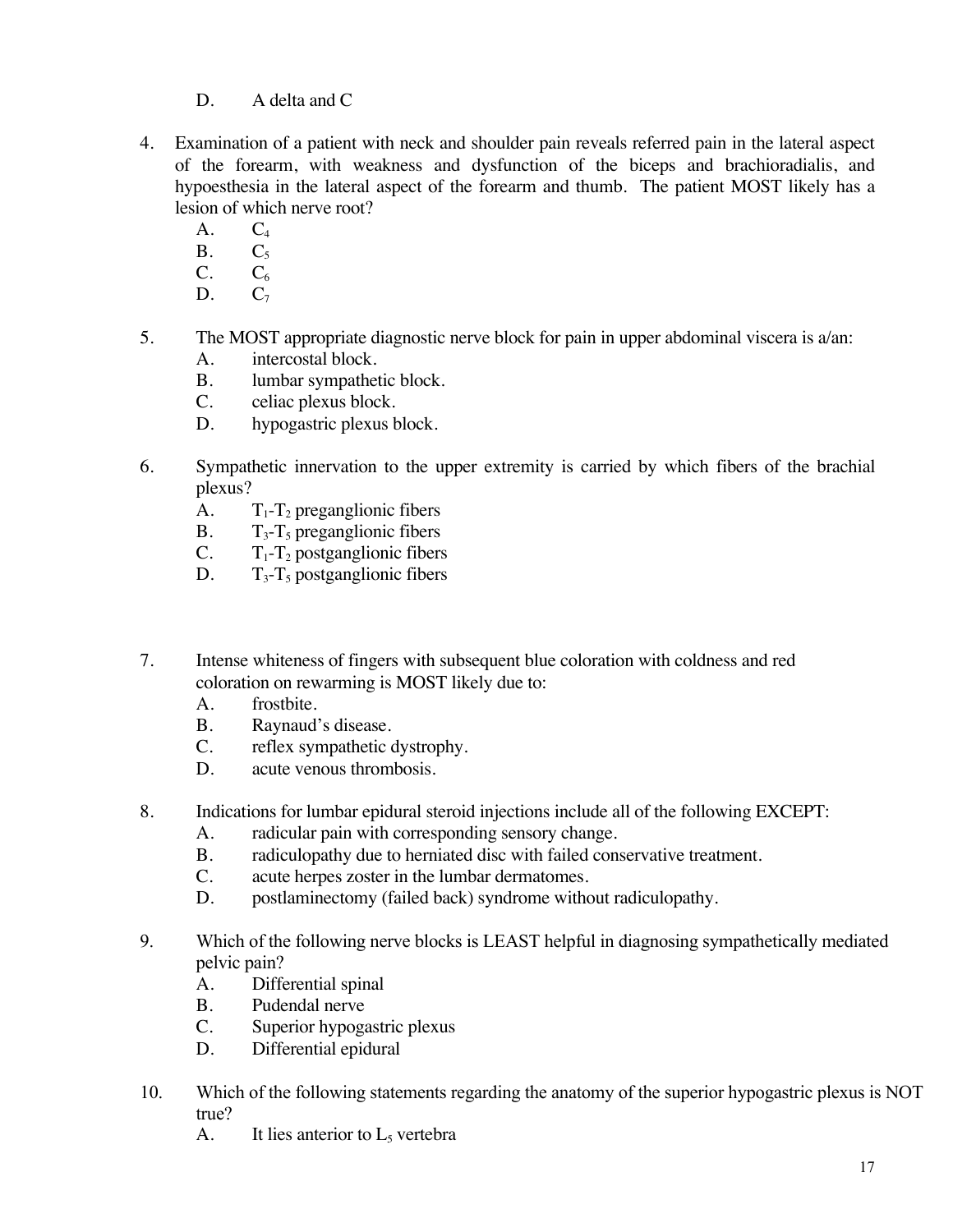- D. A delta and C
- 4. Examination of a patient with neck and shoulder pain reveals referred pain in the lateral aspect of the forearm, with weakness and dysfunction of the biceps and brachioradialis, and hypoesthesia in the lateral aspect of the forearm and thumb. The patient MOST likely has a lesion of which nerve root?
	- A.  $C_4$ <br>B.  $C_5$
	- $C<sub>5</sub>$
	- $C. \hspace{1.6cm} C_6$
	- $D.$   $C_7$
- 5. The MOST appropriate diagnostic nerve block for pain in upper abdominal viscera is a/an:
	- A. intercostal block.
	- B. lumbar sympathetic block.
	- C. celiac plexus block.
	- D. hypogastric plexus block.
- 6. Sympathetic innervation to the upper extremity is carried by which fibers of the brachial plexus?
	- A.  $T_1 T_2$  preganglionic fibers
	- B.  $T_3$ - $T_5$  preganglionic fibers
	- C.  $T_1 T_2$  postganglionic fibers
	- D.  $T_3 T_5$  postganglionic fibers
- 7. Intense whiteness of fingers with subsequent blue coloration with coldness and red coloration on rewarming is MOST likely due to:
	- A. frostbite.
	- B. Raynaud's disease.
	- C. reflex sympathetic dystrophy.
	- D. acute venous thrombosis.
- 8. Indications for lumbar epidural steroid injections include all of the following EXCEPT:
	- A. radicular pain with corresponding sensory change.
	- B. radiculopathy due to herniated disc with failed conservative treatment.
	- C. acute herpes zoster in the lumbar dermatomes.
	- D. postlaminectomy (failed back) syndrome without radiculopathy.
- 9. Which of the following nerve blocks is LEAST helpful in diagnosing sympathetically mediated pelvic pain?
	- A. Differential spinal
	- B. Pudendal nerve
	- C. Superior hypogastric plexus
	- D. Differential epidural
- 10. Which of the following statements regarding the anatomy of the superior hypogastric plexus is NOT true?
	- A. It lies anterior to  $L_5$  vertebra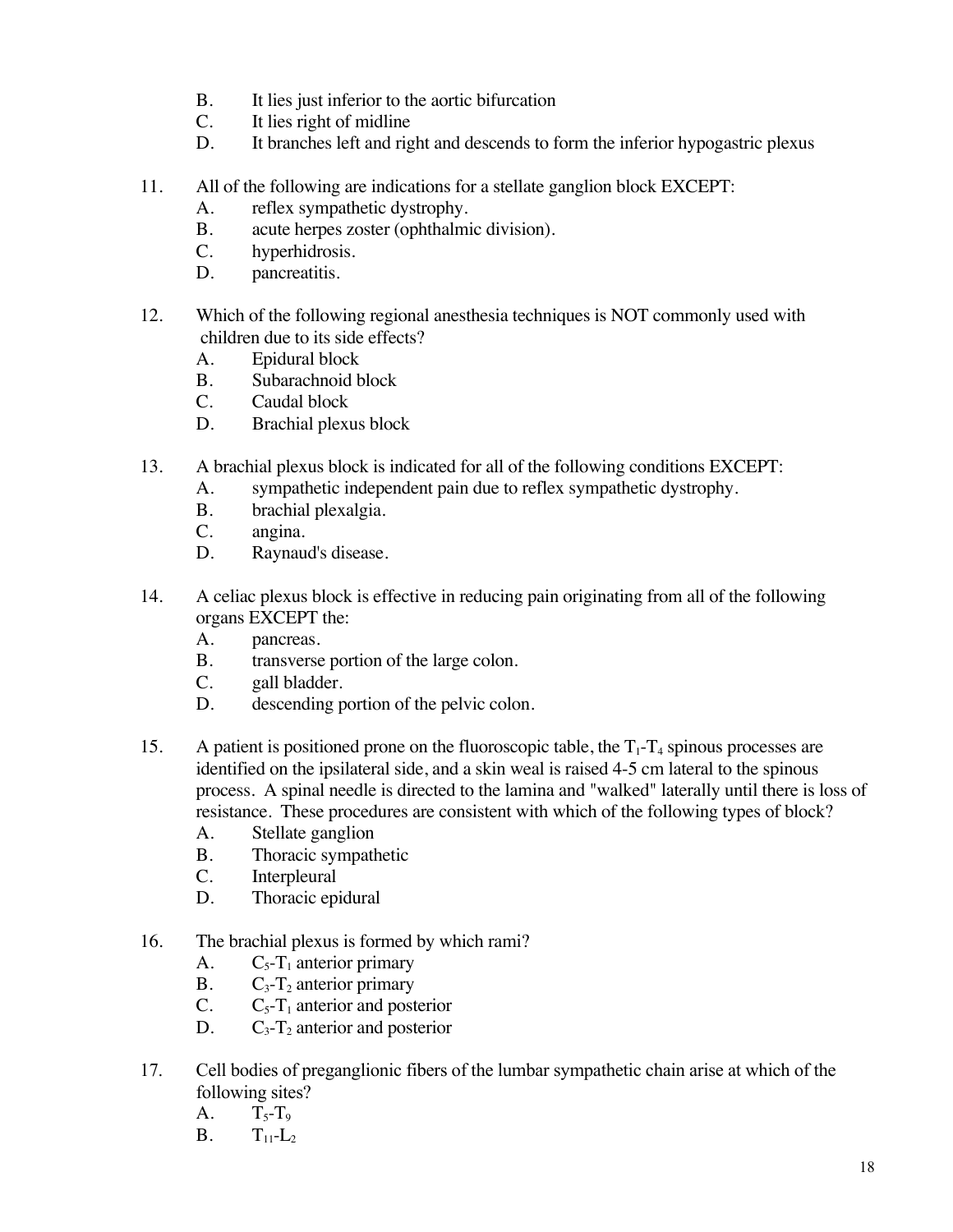- B. It lies just inferior to the aortic bifurcation<br>C. It lies right of midline
- It lies right of midline
- D. It branches left and right and descends to form the inferior hypogastric plexus
- 11. All of the following are indications for a stellate ganglion block EXCEPT:
	- A. reflex sympathetic dystrophy.
	- B. acute herpes zoster (ophthalmic division).
	- C. hyperhidrosis.
	- D. pancreatitis.
- 12. Which of the following regional anesthesia techniques is NOT commonly used with children due to its side effects?
	- A. Epidural block
	- B. Subarachnoid block
	- C. Caudal block
	- D. Brachial plexus block
- 13. A brachial plexus block is indicated for all of the following conditions EXCEPT:
	- A. sympathetic independent pain due to reflex sympathetic dystrophy.
	- B. brachial plexalgia.
	- C. angina.
	- D. Raynaud's disease.
- 14. A celiac plexus block is effective in reducing pain originating from all of the following organs EXCEPT the:
	- A. pancreas.
	- B. transverse portion of the large colon.
	- C. gall bladder.
	- D. descending portion of the pelvic colon.
- 15. A patient is positioned prone on the fluoroscopic table, the  $T_1$ - $T_4$  spinous processes are identified on the ipsilateral side, and a skin weal is raised 4-5 cm lateral to the spinous process. A spinal needle is directed to the lamina and "walked" laterally until there is loss of resistance. These procedures are consistent with which of the following types of block?
	- A. Stellate ganglion
	- B. Thoracic sympathetic
	- C. Interpleural
	- D. Thoracic epidural
- 16. The brachial plexus is formed by which rami?
	- A.  $C_5$ - $T_1$  anterior primary
	- B.  $C_3$ -T<sub>2</sub> anterior primary
	- C.  $C_5-T_1$  anterior and posterior
	- D.  $C_3$ -T<sub>2</sub> anterior and posterior
- 17. Cell bodies of preganglionic fibers of the lumbar sympathetic chain arise at which of the following sites?
	- $A. T_{5}$ -T<sub>9</sub>
	- **B.**  $T_{11} L_2$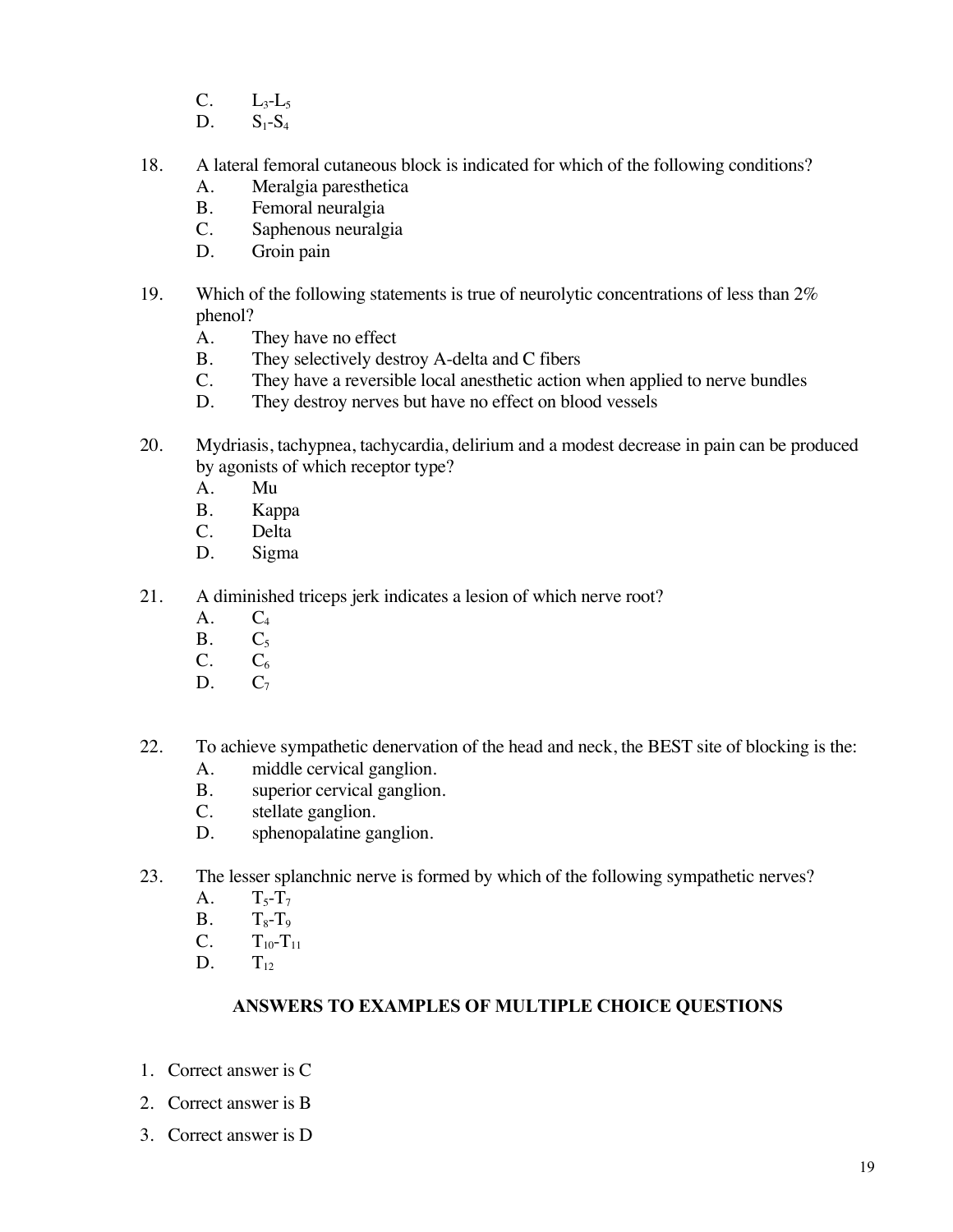- C.  $L_3-L_5$ <br>D.  $S_1-S_4$
- $S_1-S_4$
- 18. A lateral femoral cutaneous block is indicated for which of the following conditions?
	- A. Meralgia paresthetica
	- B. Femoral neuralgia
	- C. Saphenous neuralgia
	- D. Groin pain
- 19. Which of the following statements is true of neurolytic concentrations of less than 2% phenol?
	- A. They have no effect
	- B. They selectively destroy A-delta and C fibers
	- C. They have a reversible local anesthetic action when applied to nerve bundles D. They destroy nerves but have no effect on blood vessels
	- They destroy nerves but have no effect on blood vessels
- 20. Mydriasis, tachypnea, tachycardia, delirium and a modest decrease in pain can be produced by agonists of which receptor type?
	- A. Mu
	- B. Kappa
	- C. Delta
	- D. Sigma
- 21. A diminished triceps jerk indicates a lesion of which nerve root?
	- $A.$   $C_4$
	- $B.$   $C_5$
	- $C. \qquad C_6$
	- D.  $C_7$
- 22. To achieve sympathetic denervation of the head and neck, the BEST site of blocking is the:
	- A. middle cervical ganglion.
	- B. superior cervical ganglion.
	- C. stellate ganglion.
	- D. sphenopalatine ganglion.
- 23. The lesser splanchnic nerve is formed by which of the following sympathetic nerves?
	- A.  $T_5 T_7$
	- $B.$   $T_8-T_9$
	- C.  $T_{10} T_{11}$ <br>D.  $T_{12}$
	- $T_{12}$

#### **ANSWERS TO EXAMPLES OF MULTIPLE CHOICE QUESTIONS**

- 1. Correct answer is C
- 2. Correct answer is B
- 3. Correct answer is D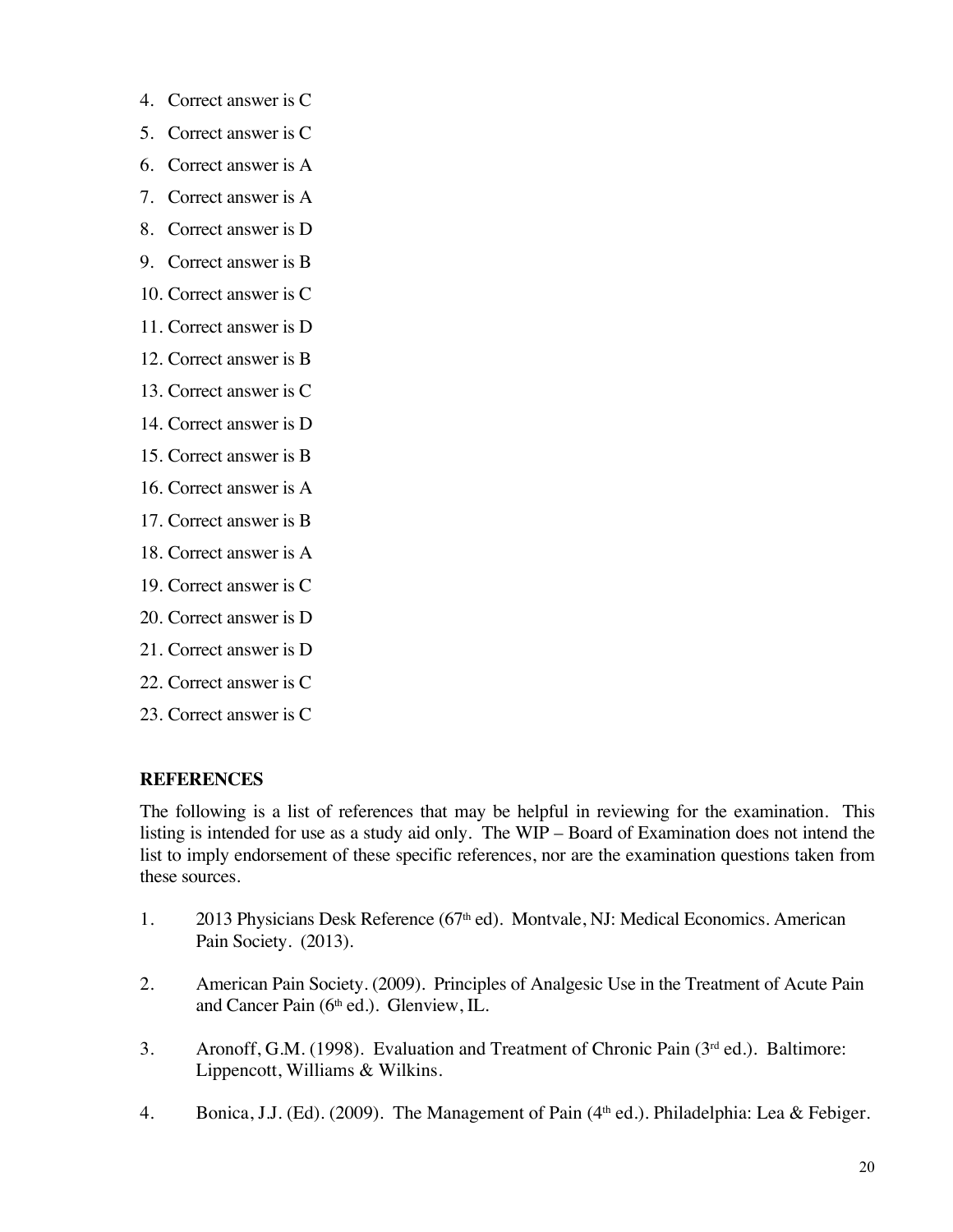- 4. Correct answer is C
- 5. Correct answer is C
- 6. Correct answer is A
- 7. Correct answer is A
- 8. Correct answer is D
- 9. Correct answer is B
- 10. Correct answer is C
- 11. Correct answer is D
- 12. Correct answer is B
- 13. Correct answer is C
- 14. Correct answer is D
- 15. Correct answer is B
- 16. Correct answer is A
- 17. Correct answer is B
- 18. Correct answer is A
- 19. Correct answer is C
- 20. Correct answer is D
- 21. Correct answer is D
- 22. Correct answer is C
- 23. Correct answer is C

# **REFERENCES**

The following is a list of references that may be helpful in reviewing for the examination. This listing is intended for use as a study aid only. The WIP – Board of Examination does not intend the list to imply endorsement of these specific references, nor are the examination questions taken from these sources.

- 1. 2013 Physicians Desk Reference (67<sup>th</sup> ed). Montvale, NJ: Medical Economics. American Pain Society. (2013).
- 2. American Pain Society. (2009). Principles of Analgesic Use in the Treatment of Acute Pain and Cancer Pain (6th ed.). Glenview, IL.
- 3. Aronoff, G.M. (1998). Evaluation and Treatment of Chronic Pain (3rd ed.). Baltimore: Lippencott, Williams & Wilkins.
- 4. Bonica, J.J. (Ed). (2009). The Management of Pain (4<sup>th</sup> ed.). Philadelphia: Lea & Febiger.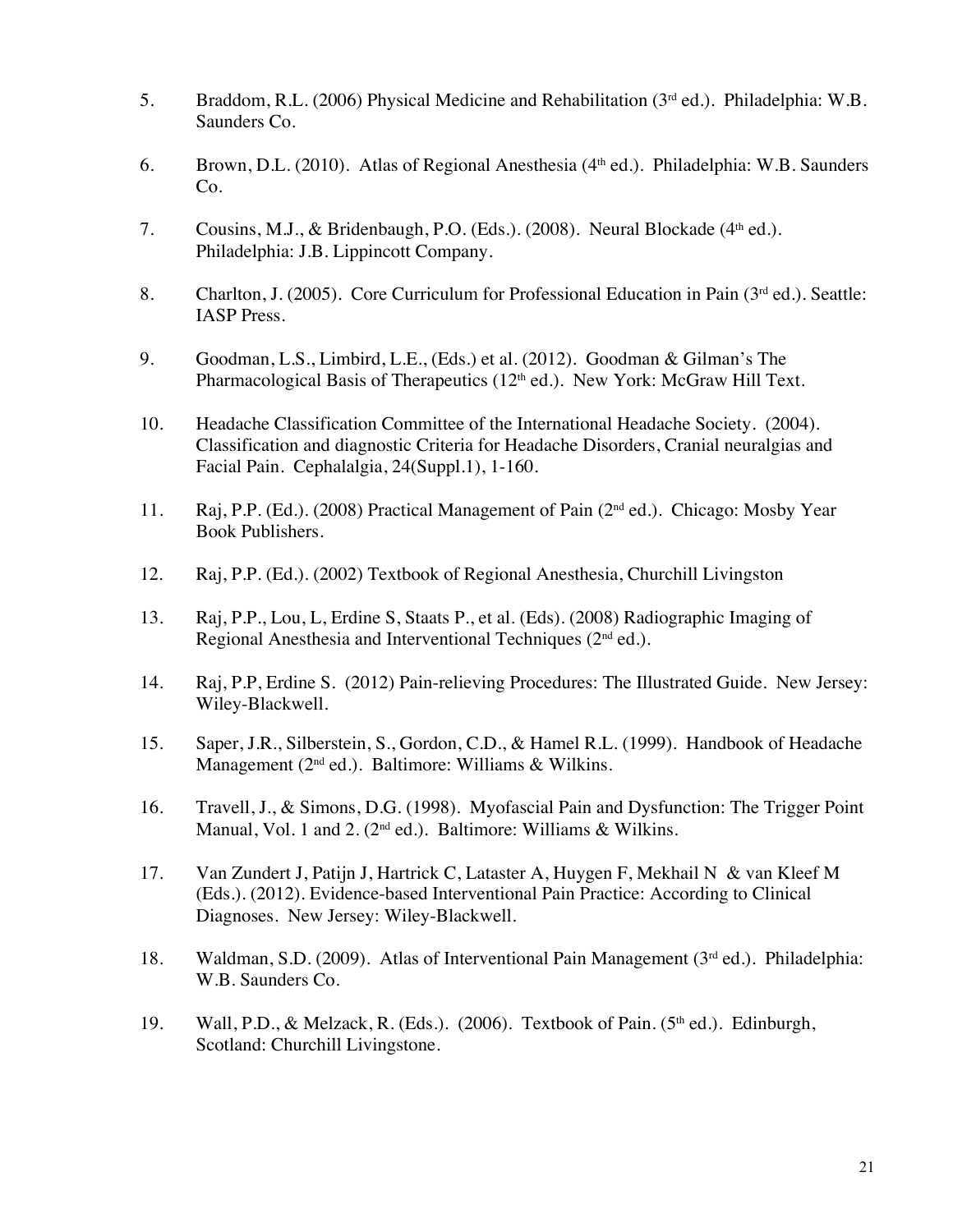- 5. Braddom, R.L. (2006) Physical Medicine and Rehabilitation (3rd ed.). Philadelphia: W.B. Saunders Co.
- 6. Brown, D.L. (2010). Atlas of Regional Anesthesia (4th ed.). Philadelphia: W.B. Saunders Co.
- 7. Cousins, M.J., & Bridenbaugh, P.O. (Eds.). (2008). Neural Blockade (4<sup>th</sup> ed.). Philadelphia: J.B. Lippincott Company.
- 8. Charlton, J. (2005). Core Curriculum for Professional Education in Pain (3<sup>rd</sup> ed.). Seattle: IASP Press.
- 9. Goodman, L.S., Limbird, L.E., (Eds.) et al. (2012). Goodman & Gilman's The Pharmacological Basis of Therapeutics (12<sup>th</sup> ed.). New York: McGraw Hill Text.
- 10. Headache Classification Committee of the International Headache Society. (2004). Classification and diagnostic Criteria for Headache Disorders, Cranial neuralgias and Facial Pain. Cephalalgia, 24(Suppl.1), 1-160.
- 11. Raj, P.P. (Ed.). (2008) Practical Management of Pain (2nd ed.). Chicago: Mosby Year Book Publishers.
- 12. Raj, P.P. (Ed.). (2002) Textbook of Regional Anesthesia, Churchill Livingston
- 13. Raj, P.P., Lou, L, Erdine S, Staats P., et al. (Eds). (2008) Radiographic Imaging of Regional Anesthesia and Interventional Techniques  $(2<sup>nd</sup>$ ed.).
- 14. Raj, P.P, Erdine S. (2012) Pain-relieving Procedures: The Illustrated Guide. New Jersey: Wiley-Blackwell.
- 15. Saper, J.R., Silberstein, S., Gordon, C.D., & Hamel R.L. (1999). Handbook of Headache Management ( $2<sup>nd</sup>$  ed.). Baltimore: Williams & Wilkins.
- 16. Travell, J., & Simons, D.G. (1998). Myofascial Pain and Dysfunction: The Trigger Point Manual, Vol. 1 and 2. ( $2<sup>nd</sup>$  ed.). Baltimore: Williams & Wilkins.
- 17. Van Zundert J, Patijn J, Hartrick C, Lataster A, Huygen F, Mekhail N & van Kleef M (Eds.). (2012). Evidence-based Interventional Pain Practice: According to Clinical Diagnoses. New Jersey: Wiley-Blackwell.
- 18. Waldman, S.D. (2009). Atlas of Interventional Pain Management (3rd ed.). Philadelphia: W.B. Saunders Co.
- 19. Wall, P.D., & Melzack, R. (Eds.). (2006). Textbook of Pain. (5<sup>th</sup> ed.). Edinburgh, Scotland: Churchill Livingstone.